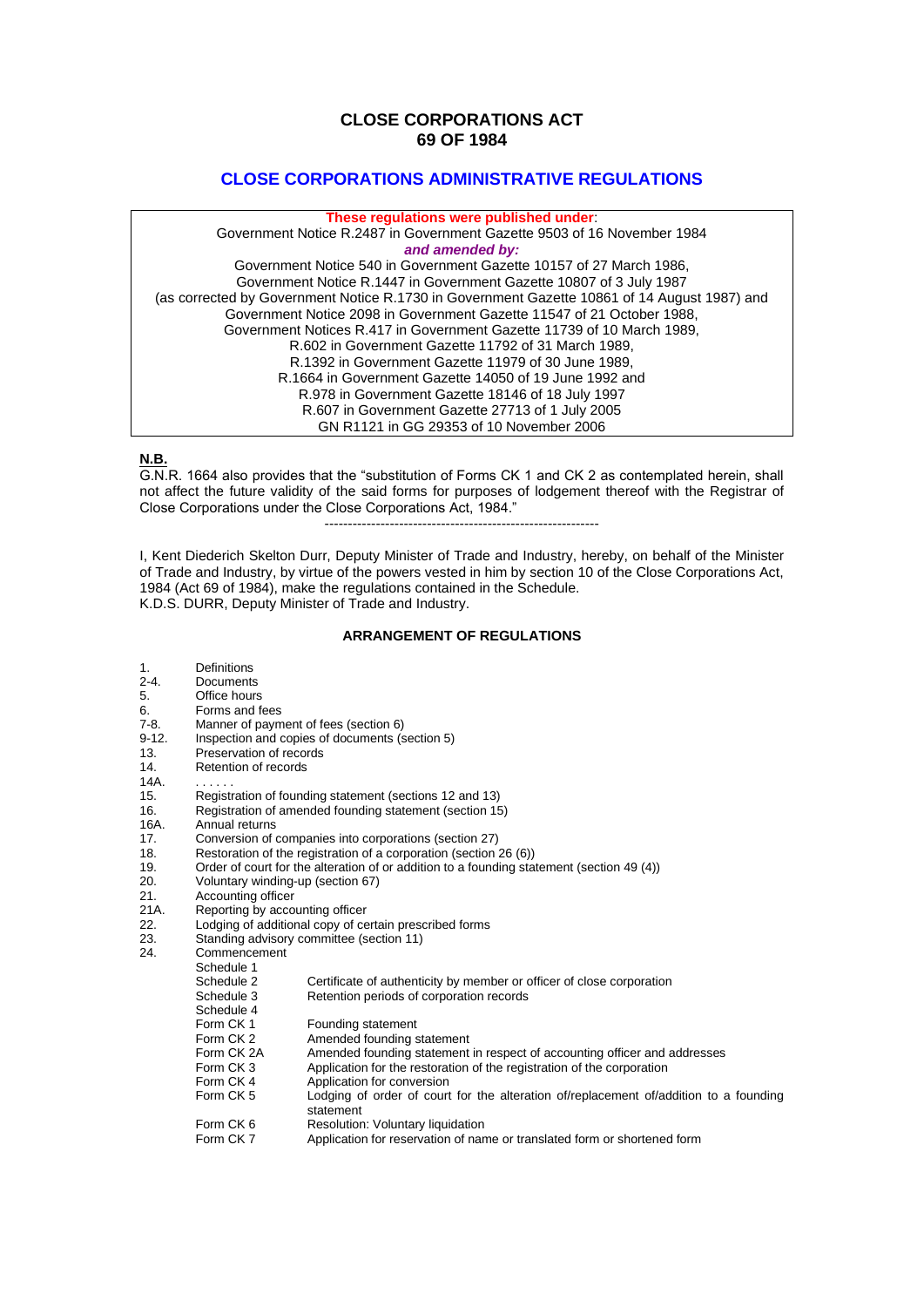# **CLOSE CORPORATIONS ACT 69 OF 1984**

# **CLOSE CORPORATIONS ADMINISTRATIVE REGULATIONS**

#### **These regulations were published under**:

Government Notice R.2487 in Government Gazette 9503 of 16 November 1984 *and amended by:* Government Notice 540 in Government Gazette 10157 of 27 March 1986, Government Notice R.1447 in Government Gazette 10807 of 3 July 1987 (as corrected by Government Notice R.1730 in Government Gazette 10861 of 14 August 1987) and Government Notice 2098 in Government Gazette 11547 of 21 October 1988, Government Notices R.417 in Government Gazette 11739 of 10 March 1989, R.602 in Government Gazette 11792 of 31 March 1989, R.1392 in Government Gazette 11979 of 30 June 1989, R.1664 in Government Gazette 14050 of 19 June 1992 and R.978 in Government Gazette 18146 of 18 July 1997 R.607 in Government Gazette 27713 of 1 July 2005 GN R1121 in GG 29353 of 10 November 2006

#### **N.B.**

G.N.R. 1664 also provides that the "substitution of Forms CK 1 and CK 2 as contemplated herein, shall not affect the future validity of the said forms for purposes of lodgement thereof with the Registrar of Close Corporations under the Close Corporations Act, 1984."

-----------------------------------------------------------

I, Kent Diederich Skelton Durr, Deputy Minister of Trade and Industry, hereby, on behalf of the Minister of Trade and Industry, by virtue of the powers vested in him by section 10 of the Close Corporations Act, 1984 (Act 69 of 1984), make the regulations contained in the Schedule. K.D.S. DURR, Deputy Minister of Trade and Industry.

#### **ARRANGEMENT OF REGULATIONS**

- 1. Definitions
- 2-4. Documents
- 5. Office hours
- 6. Forms and fees<br>7-8. Manner of paym
- 7-8. Manner of payment of fees (section 6)<br>9-12. Inspection and copies of documents (s
- 9-12. Inspection and copies of documents (section 5)
- Preservation of records
- 14. Retention of records
- $14A$ .
- 15. Registration of founding statement (sections 12 and 13)
- 16. Registration of amended founding statement (section 15)<br>16A. Annual returns
- Annual returns
- 17. Conversion of companies into corporations (section 27)
- 18. Restoration of the registration of a corporation (section 26 (6))
- 19. Order of court for the alteration of or addition to a founding statement (section 49 (4))<br>20. Voluntary winding-up (section 67)
- 20. Voluntary winding-up (section 67)
- 21. Accounting officer<br>21A. Reporting by acco
- 21A. Reporting by accounting officer<br>22. Lodging of additional copy of ce
- 22. Lodging of additional copy of certain prescribed forms
- 23. Standing advisory committee (section 11)
- 24. Commencement
- Schedule 1<br>Schedule 2
	- Schedule 2 Certificate of authenticity by member or officer of close corporation<br>Schedule 3 Retention periods of corporation records
	- Retention periods of corporation records
	- Schedule 4<br>Form CK 1
	- Form CK 1 Founding statement<br>Form CK 2 Amended founding s
	- Amended founding statement
	- Form CK 2A Amended founding statement in respect of accounting officer and addresses<br>Form CK 3 Application for the restoration of the registration of the corporation
	- Form CK 3 Application for the restoration of the registration of the corporation<br>Form CK 4 Application for conversion
	- Form CK 4 Application for conversion<br>Form CK 5 1 odging of order of court
		- Lodging of order of court for the alteration of/replacement of/addition to a founding statement
		- Form CK 6 Resolution: Voluntary liquidation<br>Form CK 7 Application for reservation of nar
		- Application for reservation of name or translated form or shortened form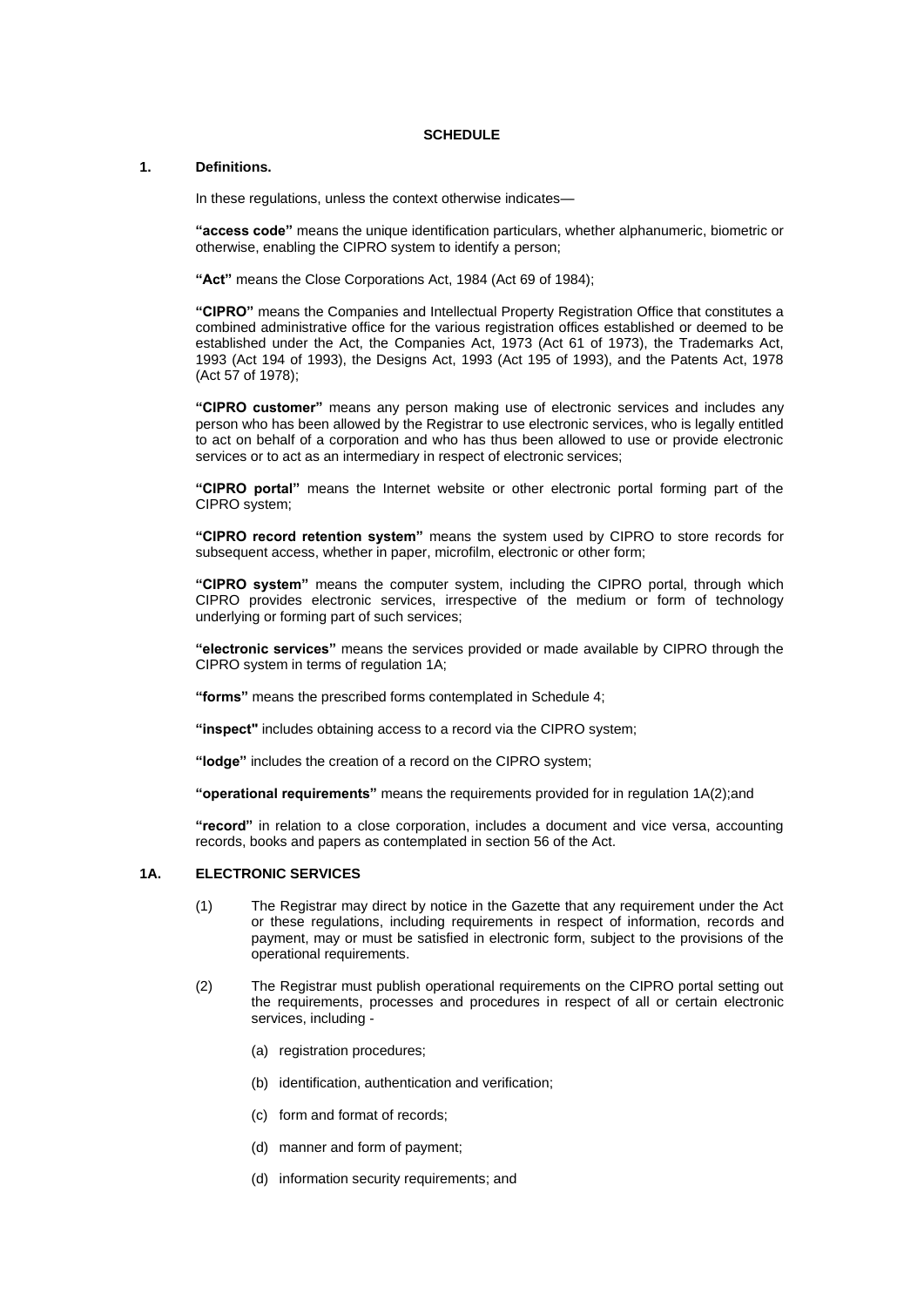#### **SCHEDULE**

#### **1. Definitions.**

In these regulations, unless the context otherwise indicates—

**"access code"** means the unique identification particulars, whether alphanumeric, biometric or otherwise, enabling the CIPRO system to identify a person;

**"Act"** means the Close Corporations Act, 1984 (Act 69 of 1984);

**"CIPRO"** means the Companies and Intellectual Property Registration Office that constitutes a combined administrative office for the various registration offices established or deemed to be established under the Act, the Companies Act, 1973 (Act 61 of 1973), the Trademarks Act, 1993 (Act 194 of 1993), the Designs Act, 1993 (Act 195 of 1993), and the Patents Act, 1978 (Act 57 of 1978);

**"CIPRO customer"** means any person making use of electronic services and includes any person who has been allowed by the Registrar to use electronic services, who is legally entitled to act on behalf of a corporation and who has thus been allowed to use or provide electronic services or to act as an intermediary in respect of electronic services;

**"CIPRO portal"** means the Internet website or other electronic portal forming part of the CIPRO system;

**"CIPRO record retention system"** means the system used by CIPRO to store records for subsequent access, whether in paper, microfilm, electronic or other form;

**"CIPRO system"** means the computer system, including the CIPRO portal, through which CIPRO provides electronic services, irrespective of the medium or form of technology underlying or forming part of such services;

**"electronic services"** means the services provided or made available by CIPRO through the CIPRO system in terms of regulation 1A;

**"forms"** means the prescribed forms contemplated in Schedule 4;

**"inspect"** includes obtaining access to a record via the CIPRO system;

**"lodge"** includes the creation of a record on the CIPRO system;

**"operational requirements"** means the requirements provided for in regulation 1A(2);and

**"record"** in relation to a close corporation, includes a document and vice versa, accounting records, books and papers as contemplated in section 56 of the Act.

#### **1A. ELECTRONIC SERVICES**

- (1) The Registrar may direct by notice in the Gazette that any requirement under the Act or these regulations, including requirements in respect of information, records and payment, may or must be satisfied in electronic form, subject to the provisions of the operational requirements.
- (2) The Registrar must publish operational requirements on the CIPRO portal setting out the requirements, processes and procedures in respect of all or certain electronic services, including -
	- (a) registration procedures;
	- (b) identification, authentication and verification;
	- (c) form and format of records;
	- (d) manner and form of payment;
	- (d) information security requirements; and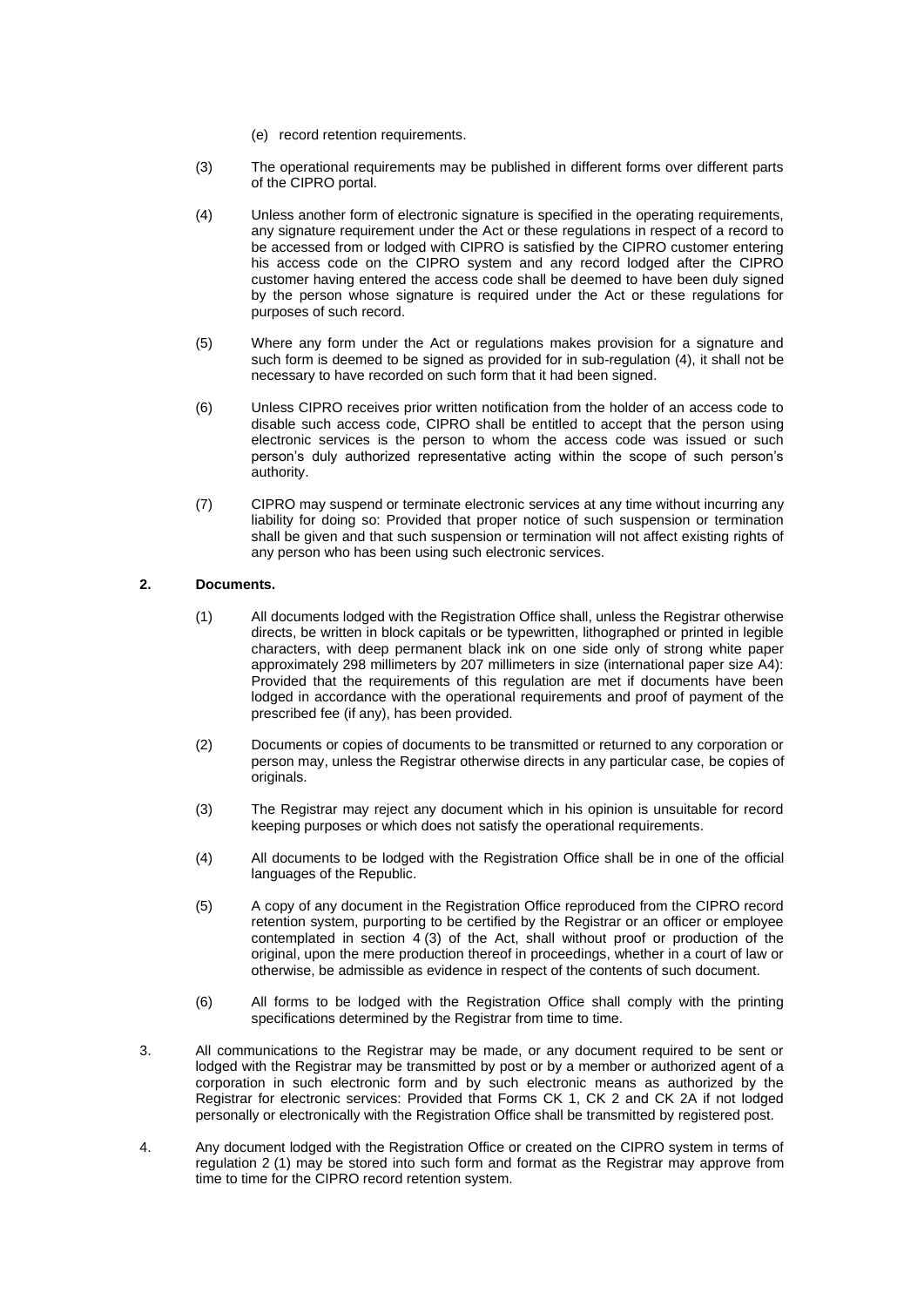- (e) record retention requirements.
- (3) The operational requirements may be published in different forms over different parts of the CIPRO portal.
- (4) Unless another form of electronic signature is specified in the operating requirements, any signature requirement under the Act or these regulations in respect of a record to be accessed from or lodged with CIPRO is satisfied by the CIPRO customer entering his access code on the CIPRO system and any record lodged after the CIPRO customer having entered the access code shall be deemed to have been duly signed by the person whose signature is required under the Act or these regulations for purposes of such record.
- (5) Where any form under the Act or regulations makes provision for a signature and such form is deemed to be signed as provided for in sub-regulation (4), it shall not be necessary to have recorded on such form that it had been signed.
- (6) Unless CIPRO receives prior written notification from the holder of an access code to disable such access code, CIPRO shall be entitled to accept that the person using electronic services is the person to whom the access code was issued or such person's duly authorized representative acting within the scope of such person's authority.
- (7) CIPRO may suspend or terminate electronic services at any time without incurring any liability for doing so: Provided that proper notice of such suspension or termination shall be given and that such suspension or termination will not affect existing rights of any person who has been using such electronic services.

#### **2. Documents.**

- (1) All documents lodged with the Registration Office shall, unless the Registrar otherwise directs, be written in block capitals or be typewritten, lithographed or printed in legible characters, with deep permanent black ink on one side only of strong white paper approximately 298 millimeters by 207 millimeters in size (international paper size A4): Provided that the requirements of this regulation are met if documents have been lodged in accordance with the operational requirements and proof of payment of the prescribed fee (if any), has been provided.
- (2) Documents or copies of documents to be transmitted or returned to any corporation or person may, unless the Registrar otherwise directs in any particular case, be copies of .<br>originals.
- (3) The Registrar may reject any document which in his opinion is unsuitable for record keeping purposes or which does not satisfy the operational requirements.
- (4) All documents to be lodged with the Registration Office shall be in one of the official languages of the Republic.
- (5) A copy of any document in the Registration Office reproduced from the CIPRO record retention system, purporting to be certified by the Registrar or an officer or employee contemplated in section  $4(3)$  of the Act, shall without proof or production of the original, upon the mere production thereof in proceedings, whether in a court of law or otherwise, be admissible as evidence in respect of the contents of such document.
- (6) All forms to be lodged with the Registration Office shall comply with the printing specifications determined by the Registrar from time to time.
- 3. All communications to the Registrar may be made, or any document required to be sent or lodged with the Registrar may be transmitted by post or by a member or authorized agent of a corporation in such electronic form and by such electronic means as authorized by the Registrar for electronic services: Provided that Forms CK 1, CK 2 and CK 2A if not lodged personally or electronically with the Registration Office shall be transmitted by registered post.
- 4. Any document lodged with the Registration Office or created on the CIPRO system in terms of regulation 2 (1) may be stored into such form and format as the Registrar may approve from time to time for the CIPRO record retention system.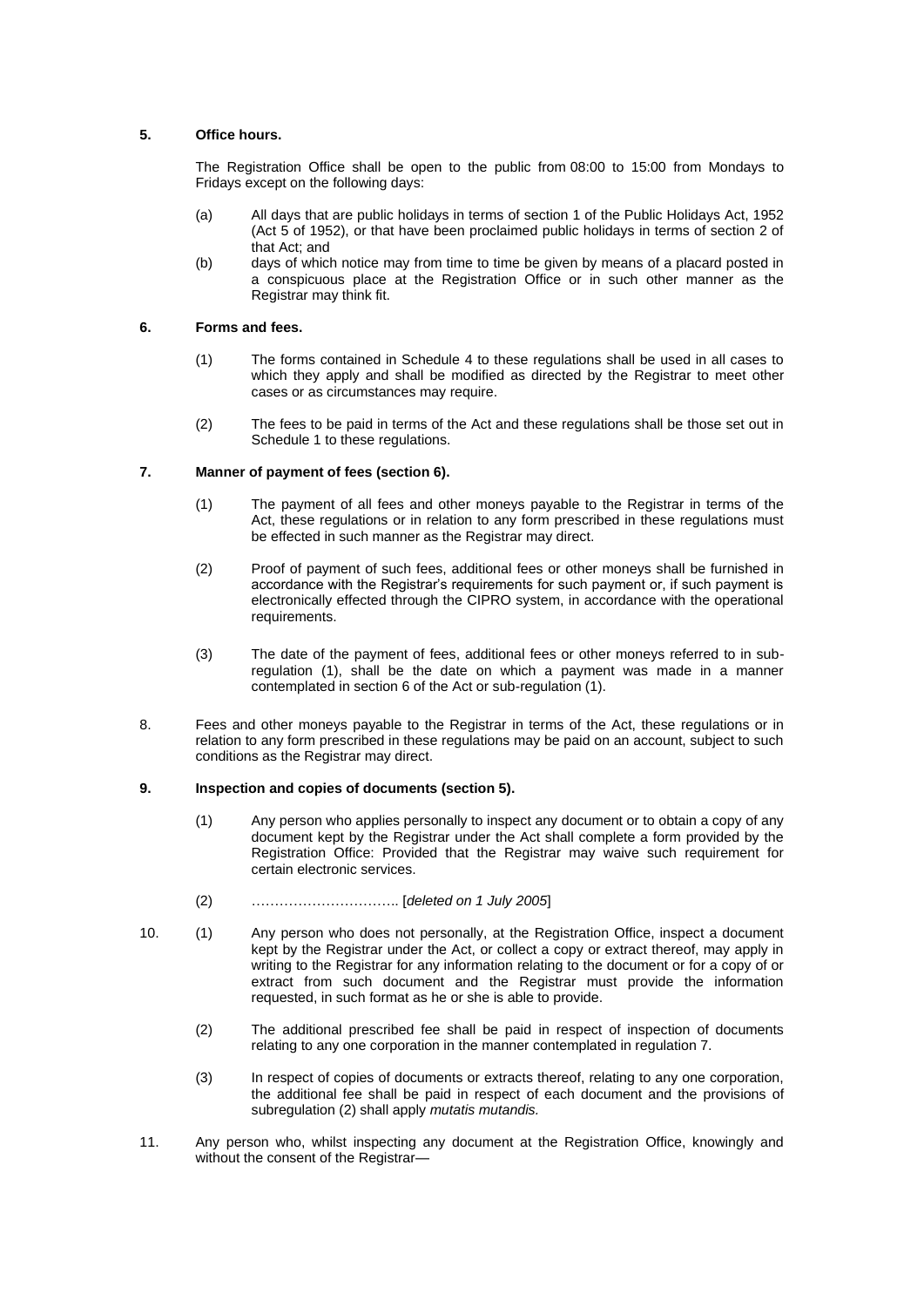#### **5. Office hours.**

The Registration Office shall be open to the public from 08:00 to 15:00 from Mondays to Fridays except on the following days:

- (a) All days that are public holidays in terms of section 1 of the Public Holidays Act, 1952 (Act 5 of 1952), or that have been proclaimed public holidays in terms of section 2 of that Act; and
- (b) days of which notice may from time to time be given by means of a placard posted in a conspicuous place at the Registration Office or in such other manner as the Registrar may think fit.

#### **6. Forms and fees.**

- (1) The forms contained in Schedule 4 to these regulations shall be used in all cases to which they apply and shall be modified as directed by the Registrar to meet other cases or as circumstances may require.
- (2) The fees to be paid in terms of the Act and these regulations shall be those set out in Schedule 1 to these regulations.

#### **7. Manner of payment of fees (section 6).**

- (1) The payment of all fees and other moneys payable to the Registrar in terms of the Act, these regulations or in relation to any form prescribed in these regulations must be effected in such manner as the Registrar may direct.
- (2) Proof of payment of such fees, additional fees or other moneys shall be furnished in accordance with the Registrar's requirements for such payment or, if such payment is electronically effected through the CIPRO system, in accordance with the operational requirements.
- (3) The date of the payment of fees, additional fees or other moneys referred to in subregulation (1), shall be the date on which a payment was made in a manner contemplated in section 6 of the Act or sub-regulation (1).
- 8. Fees and other moneys payable to the Registrar in terms of the Act, these regulations or in relation to any form prescribed in these regulations may be paid on an account, subject to such conditions as the Registrar may direct.

#### **9. Inspection and copies of documents (section 5).**

- (1) Any person who applies personally to inspect any document or to obtain a copy of any document kept by the Registrar under the Act shall complete a form provided by the Registration Office: Provided that the Registrar may waive such requirement for certain electronic services.
- (2) ………………………….. [*deleted on 1 July 2005*]
- 10. (1) Any person who does not personally, at the Registration Office, inspect a document kept by the Registrar under the Act, or collect a copy or extract thereof, may apply in writing to the Registrar for any information relating to the document or for a copy of or extract from such document and the Registrar must provide the information requested, in such format as he or she is able to provide.
	- (2) The additional prescribed fee shall be paid in respect of inspection of documents relating to any one corporation in the manner contemplated in regulation 7.
	- (3) In respect of copies of documents or extracts thereof, relating to any one corporation, the additional fee shall be paid in respect of each document and the provisions of subregulation (2) shall apply *mutatis mutandis.*
- 11. Any person who, whilst inspecting any document at the Registration Office, knowingly and without the consent of the Registrar—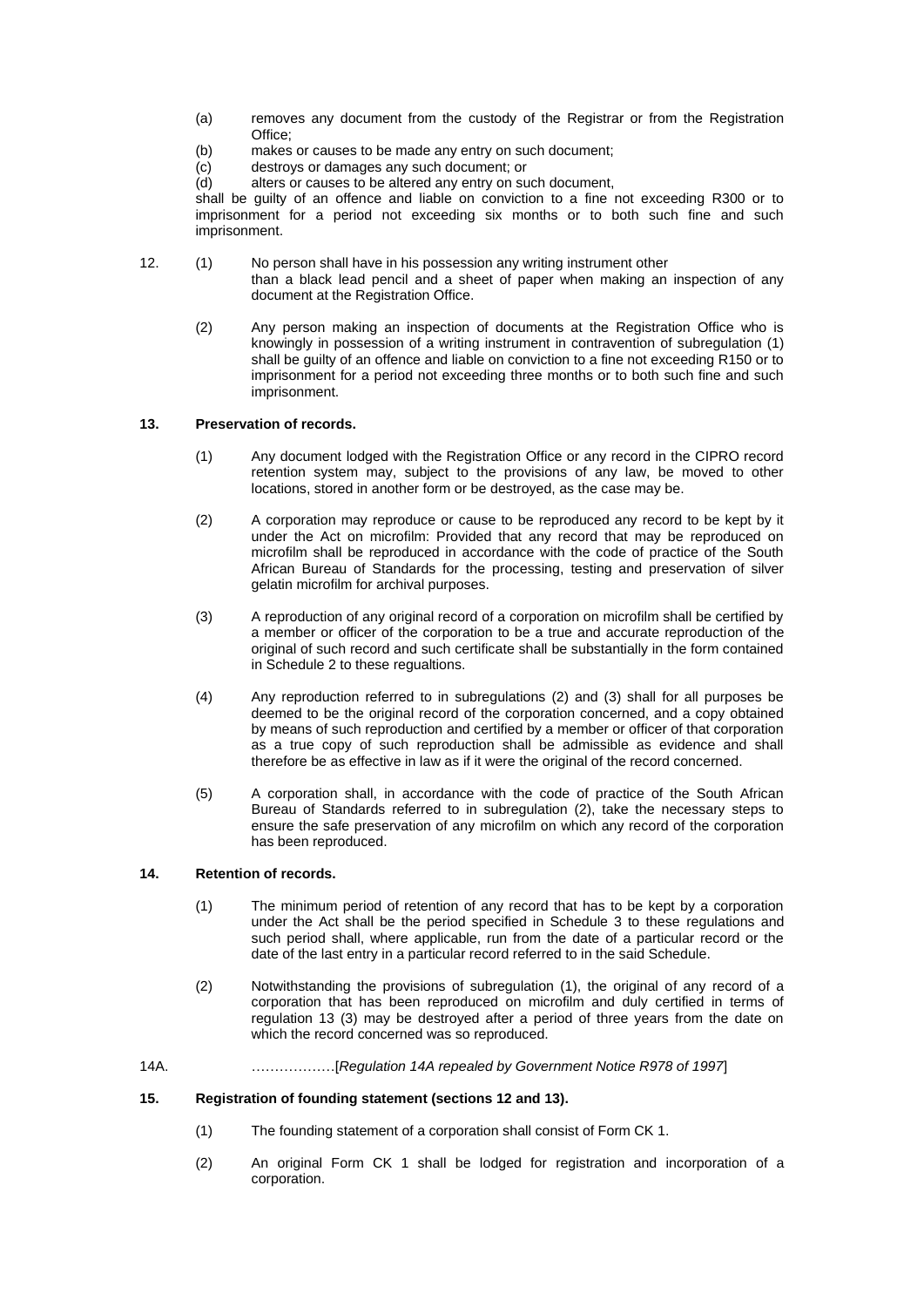- (a) removes any document from the custody of the Registrar or from the Registration Office;
- (b) makes or causes to be made any entry on such document;
- (c) destroys or damages any such document; or
- (d) alters or causes to be altered any entry on such document,

shall be guilty of an offence and liable on conviction to a fine not exceeding R300 or to imprisonment for a period not exceeding six months or to both such fine and such imprisonment.

- 12. (1) No person shall have in his possession any writing instrument other than a black lead pencil and a sheet of paper when making an inspection of any document at the Registration Office.
	- (2) Any person making an inspection of documents at the Registration Office who is knowingly in possession of a writing instrument in contravention of subregulation (1) shall be guilty of an offence and liable on conviction to a fine not exceeding R150 or to imprisonment for a period not exceeding three months or to both such fine and such imprisonment.

#### **13. Preservation of records.**

- (1) Any document lodged with the Registration Office or any record in the CIPRO record retention system may, subject to the provisions of any law, be moved to other locations, stored in another form or be destroyed, as the case may be.
- (2) A corporation may reproduce or cause to be reproduced any record to be kept by it under the Act on microfilm: Provided that any record that may be reproduced on microfilm shall be reproduced in accordance with the code of practice of the South African Bureau of Standards for the processing, testing and preservation of silver gelatin microfilm for archival purposes.
- (3) A reproduction of any original record of a corporation on microfilm shall be certified by a member or officer of the corporation to be a true and accurate reproduction of the original of such record and such certificate shall be substantially in the form contained in Schedule 2 to these regualtions.
- (4) Any reproduction referred to in subregulations (2) and (3) shall for all purposes be deemed to be the original record of the corporation concerned, and a copy obtained by means of such reproduction and certified by a member or officer of that corporation as a true copy of such reproduction shall be admissible as evidence and shall therefore be as effective in law as if it were the original of the record concerned.
- (5) A corporation shall, in accordance with the code of practice of the South African Bureau of Standards referred to in subregulation (2), take the necessary steps to ensure the safe preservation of any microfilm on which any record of the corporation has been reproduced.

## **14. Retention of records.**

- (1) The minimum period of retention of any record that has to be kept by a corporation under the Act shall be the period specified in Schedule 3 to these regulations and such period shall, where applicable, run from the date of a particular record or the date of the last entry in a particular record referred to in the said Schedule.
- (2) Notwithstanding the provisions of subregulation (1), the original of any record of a corporation that has been reproduced on microfilm and duly certified in terms of regulation 13 (3) may be destroyed after a period of three years from the date on which the record concerned was so reproduced.
- 14A. ………………[*Regulation 14A repealed by Government Notice R978 of 1997*]

#### **15. Registration of founding statement (sections 12 and 13).**

- (1) The founding statement of a corporation shall consist of Form CK 1.
- (2) An original Form CK 1 shall be lodged for registration and incorporation of a corporation.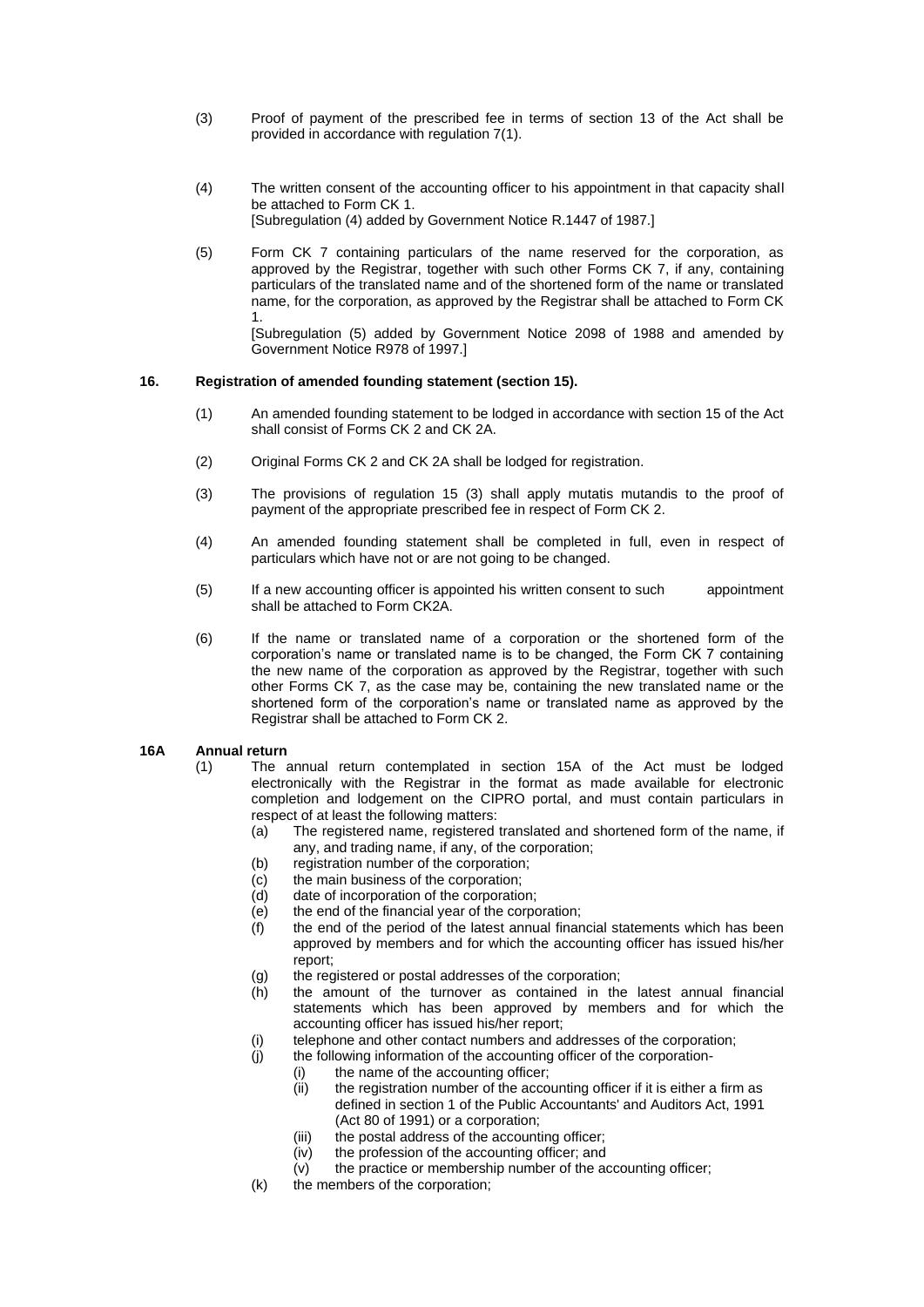- (3) Proof of payment of the prescribed fee in terms of section 13 of the Act shall be provided in accordance with regulation 7(1).
- (4) The written consent of the accounting officer to his appointment in that capacity shall be attached to Form CK 1. [Subregulation (4) added by Government Notice R.1447 of 1987.]
- (5) Form CK 7 containing particulars of the name reserved for the corporation, as approved by the Registrar, together with such other Forms CK 7, if any, containing particulars of the translated name and of the shortened form of the name or translated name, for the corporation, as approved by the Registrar shall be attached to Form CK 1.

[Subregulation (5) added by Government Notice 2098 of 1988 and amended by Government Notice R978 of 1997.]

#### **16. Registration of amended founding statement (section 15).**

- (1) An amended founding statement to be lodged in accordance with section 15 of the Act shall consist of Forms CK 2 and CK 2A.
- (2) Original Forms CK 2 and CK 2A shall be lodged for registration.
- (3) The provisions of regulation 15 (3) shall apply mutatis mutandis to the proof of payment of the appropriate prescribed fee in respect of Form CK 2.
- (4) An amended founding statement shall be completed in full, even in respect of particulars which have not or are not going to be changed.
- (5) If a new accounting officer is appointed his written consent to such appointment shall be attached to Form CK2A.
- (6) If the name or translated name of a corporation or the shortened form of the corporation's name or translated name is to be changed, the Form CK 7 containing the new name of the corporation as approved by the Registrar, together with such other Forms CK 7, as the case may be, containing the new translated name or the shortened form of the corporation's name or translated name as approved by the Registrar shall be attached to Form CK 2.

#### **16A Annual return**

- (1) The annual return contemplated in section 15A of the Act must be lodged electronically with the Registrar in the format as made available for electronic completion and lodgement on the CIPRO portal, and must contain particulars in respect of at least the following matters:
	- (a) The registered name, registered translated and shortened form of the name, if any, and trading name, if any, of the corporation;
	- (b) registration number of the corporation;
	- (c) the main business of the corporation;
	- $(d)$  date of incorporation of the corporation;<br>(e) the end of the financial year of the corpo
	- the end of the financial year of the corporation;
	- $(f)$  the end of the period of the latest annual financial statements which has been approved by members and for which the accounting officer has issued his/her report;
	- (g) the registered or postal addresses of the corporation;
	- (h) the amount of the turnover as contained in the latest annual financial statements which has been approved by members and for which the accounting officer has issued his/her report;
	- (i) telephone and other contact numbers and addresses of the corporation;
	- (j) the following information of the accounting officer of the corporation-
		- (i) the name of the accounting officer;
		- (ii) the registration number of the accounting officer if it is either a firm as defined in section 1 of the Public Accountants' and Auditors Act, 1991 (Act 80 of 1991) or a corporation;
		- (iii) the postal address of the accounting officer;
		-
		- $(iv)$  the profession of the accounting officer; and  $(v)$  the practice or membership number of the action the practice or membership number of the accounting officer;
	- (k) the members of the corporation;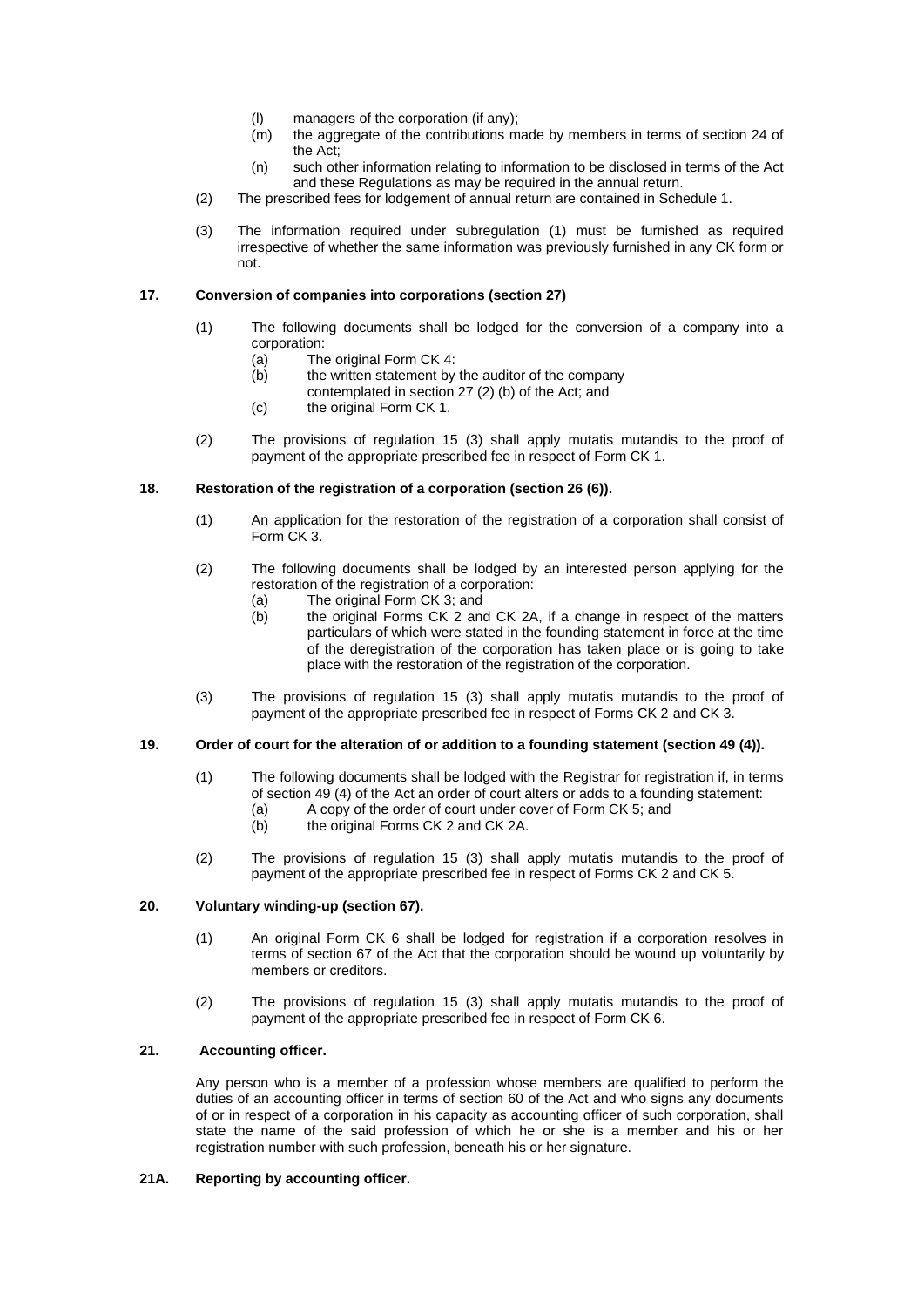- (l) managers of the corporation (if any);
- (m) the aggregate of the contributions made by members in terms of section 24 of the Act;
- (n) such other information relating to information to be disclosed in terms of the Act and these Regulations as may be required in the annual return.
- (2) The prescribed fees for lodgement of annual return are contained in Schedule 1.
- (3) The information required under subregulation (1) must be furnished as required irrespective of whether the same information was previously furnished in any CK form or not.

#### **17. Conversion of companies into corporations (section 27)**

- (1) The following documents shall be lodged for the conversion of a company into a corporation:
	- (a) The original Form CK 4:
	- $(b)$  the written statement by the auditor of the company
		- contemplated in section 27 (2) (b) of the Act; and
	- (c) the original Form CK 1.
- (2) The provisions of regulation 15 (3) shall apply mutatis mutandis to the proof of payment of the appropriate prescribed fee in respect of Form CK 1.

#### **18. Restoration of the registration of a corporation (section 26 (6)).**

- (1) An application for the restoration of the registration of a corporation shall consist of Form CK 3.
- (2) The following documents shall be lodged by an interested person applying for the restoration of the registration of a corporation:
	- (a) The original Form CK 3; and
	- (b) the original Forms CK 2 and CK 2A, if a change in respect of the matters particulars of which were stated in the founding statement in force at the time of the deregistration of the corporation has taken place or is going to take place with the restoration of the registration of the corporation.
- (3) The provisions of regulation 15 (3) shall apply mutatis mutandis to the proof of payment of the appropriate prescribed fee in respect of Forms CK 2 and CK 3.

#### **19. Order of court for the alteration of or addition to a founding statement (section 49 (4)).**

- (1) The following documents shall be lodged with the Registrar for registration if, in terms of section 49 (4) of the Act an order of court alters or adds to a founding statement: (a) A copy of the order of court under cover of Form CK 5; and
	- (b) the original Forms CK 2 and CK 2A.
- (2) The provisions of regulation 15 (3) shall apply mutatis mutandis to the proof of payment of the appropriate prescribed fee in respect of Forms CK 2 and CK 5.

#### **20. Voluntary winding-up (section 67).**

- (1) An original Form CK 6 shall be lodged for registration if a corporation resolves in terms of section 67 of the Act that the corporation should be wound up voluntarily by members or creditors.
- (2) The provisions of regulation 15 (3) shall apply mutatis mutandis to the proof of payment of the appropriate prescribed fee in respect of Form CK 6.

#### **21. Accounting officer.**

Any person who is a member of a profession whose members are qualified to perform the duties of an accounting officer in terms of section 60 of the Act and who signs any documents of or in respect of a corporation in his capacity as accounting officer of such corporation, shall state the name of the said profession of which he or she is a member and his or her registration number with such profession, beneath his or her signature.

#### **21A. Reporting by accounting officer.**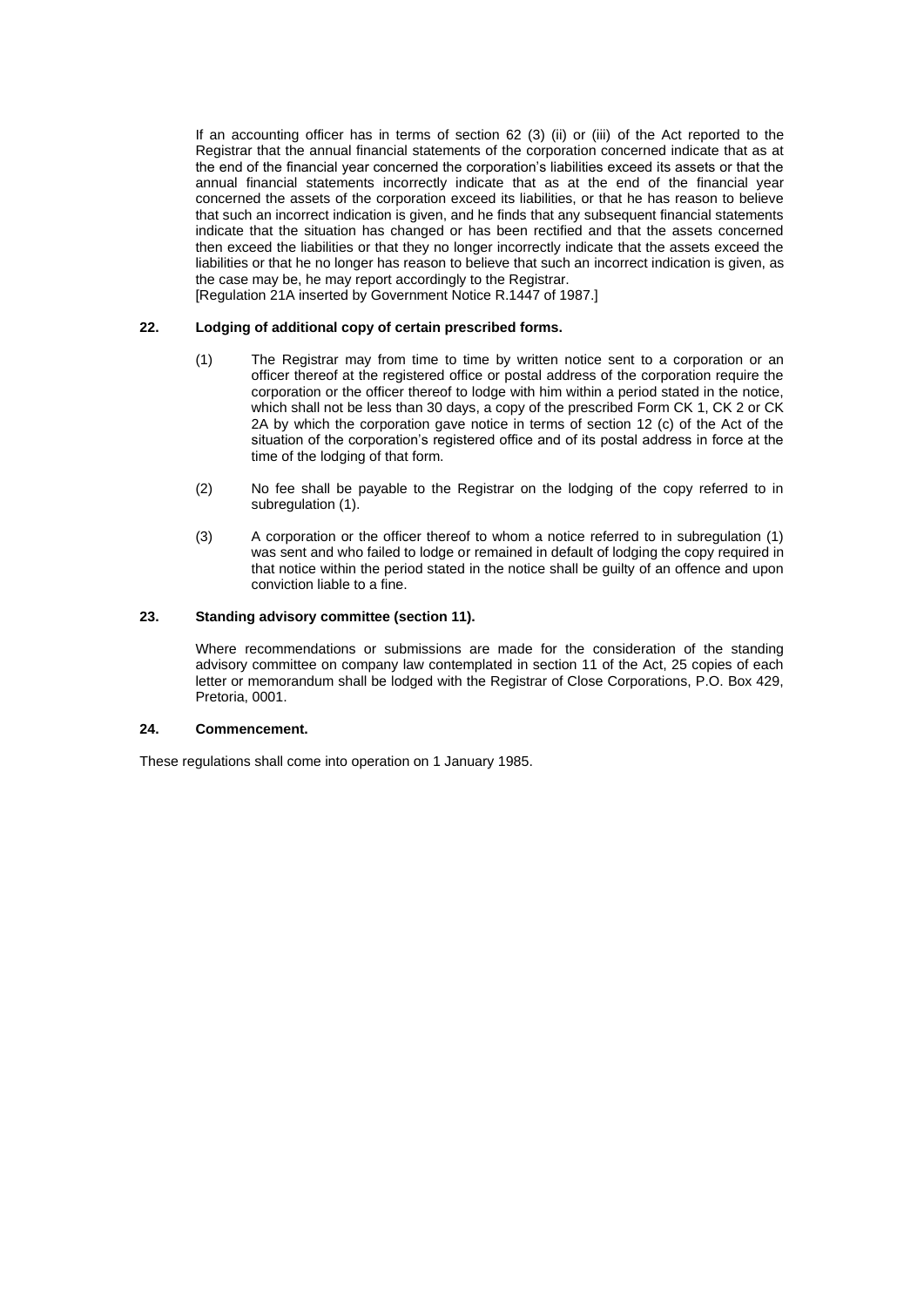If an accounting officer has in terms of section 62 (3) (ii) or (iii) of the Act reported to the Registrar that the annual financial statements of the corporation concerned indicate that as at the end of the financial year concerned the corporation's liabilities exceed its assets or that the annual financial statements incorrectly indicate that as at the end of the financial year concerned the assets of the corporation exceed its liabilities, or that he has reason to believe that such an incorrect indication is given, and he finds that any subsequent financial statements indicate that the situation has changed or has been rectified and that the assets concerned then exceed the liabilities or that they no longer incorrectly indicate that the assets exceed the liabilities or that he no longer has reason to believe that such an incorrect indication is given, as the case may be, he may report accordingly to the Registrar.

[Regulation 21A inserted by Government Notice R.1447 of 1987.]

#### **22. Lodging of additional copy of certain prescribed forms.**

- (1) The Registrar may from time to time by written notice sent to a corporation or an officer thereof at the registered office or postal address of the corporation require the corporation or the officer thereof to lodge with him within a period stated in the notice, which shall not be less than 30 days, a copy of the prescribed Form CK 1, CK 2 or CK 2A by which the corporation gave notice in terms of section 12 (c) of the Act of the situation of the corporation's registered office and of its postal address in force at the time of the lodging of that form.
- (2) No fee shall be payable to the Registrar on the lodging of the copy referred to in subregulation (1).
- (3) A corporation or the officer thereof to whom a notice referred to in subregulation (1) was sent and who failed to lodge or remained in default of lodging the copy required in that notice within the period stated in the notice shall be guilty of an offence and upon conviction liable to a fine.

#### **23. Standing advisory committee (section 11).**

Where recommendations or submissions are made for the consideration of the standing advisory committee on company law contemplated in section 11 of the Act, 25 copies of each letter or memorandum shall be lodged with the Registrar of Close Corporations, P.O. Box 429, Pretoria, 0001.

#### **24. Commencement.**

These regulations shall come into operation on 1 January 1985.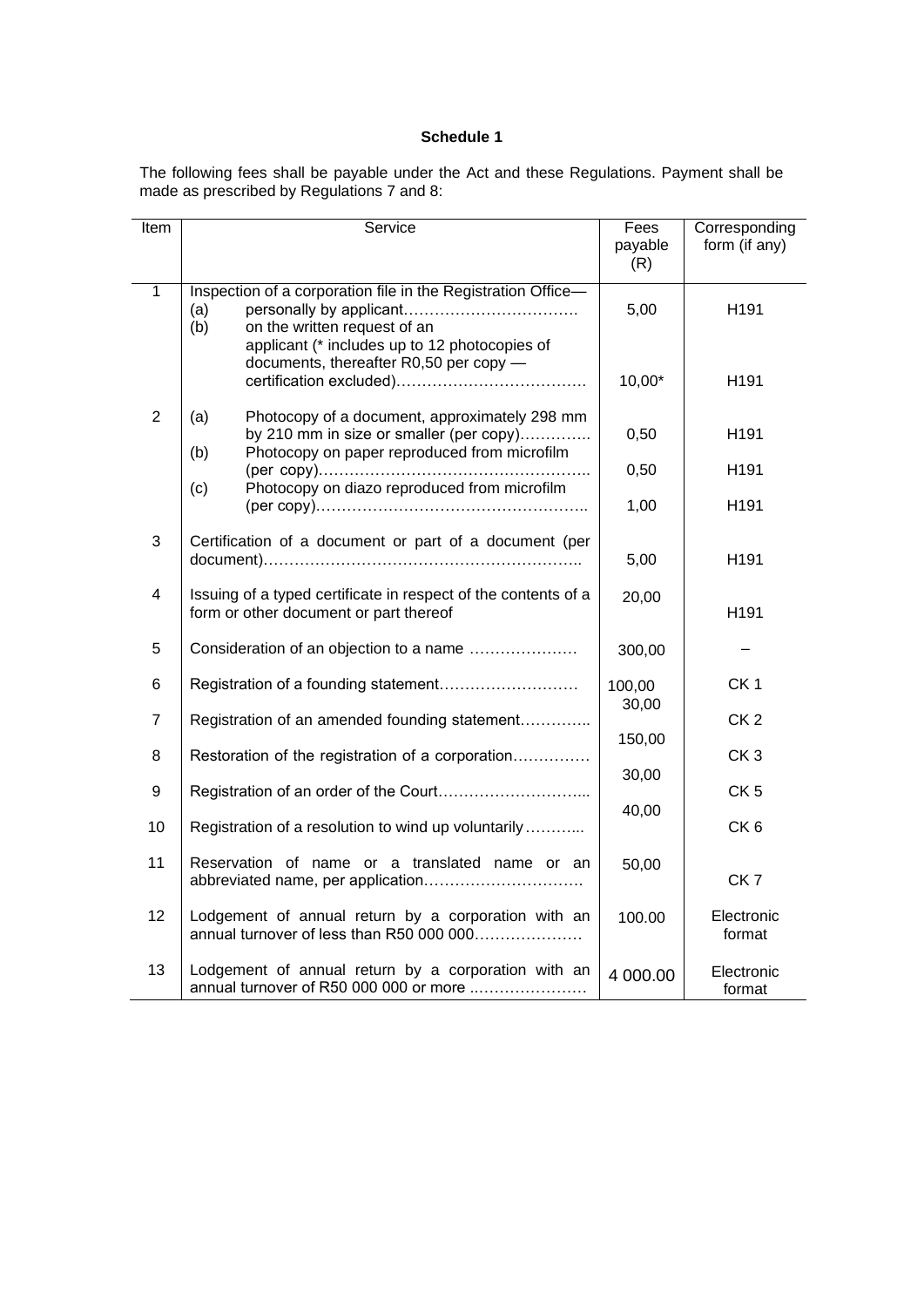The following fees shall be payable under the Act and these Regulations. Payment shall be made as prescribed by Regulations 7 and 8:

| Item           | Service                                                                                                                                                     | Fees<br>payable<br>(R) | Corresponding<br>form (if any) |
|----------------|-------------------------------------------------------------------------------------------------------------------------------------------------------------|------------------------|--------------------------------|
| $\mathbf{1}$   | Inspection of a corporation file in the Registration Office-<br>(a)<br>(b)<br>on the written request of an<br>applicant (* includes up to 12 photocopies of | 5,00                   | H <sub>191</sub>               |
|                | documents, thereafter R0,50 per copy -                                                                                                                      | 10,00*                 | H191                           |
| $\overline{2}$ | Photocopy of a document, approximately 298 mm<br>(a)<br>by 210 mm in size or smaller (per copy)                                                             | 0,50                   | H191                           |
|                | Photocopy on paper reproduced from microfilm<br>(b)                                                                                                         | 0,50                   | H191                           |
|                | Photocopy on diazo reproduced from microfilm<br>(c)                                                                                                         | 1,00                   | H191                           |
| 3              | Certification of a document or part of a document (per                                                                                                      | 5,00                   | H191                           |
| 4              | Issuing of a typed certificate in respect of the contents of a<br>form or other document or part thereof                                                    | 20,00                  | H <sub>191</sub>               |
| 5              | Consideration of an objection to a name                                                                                                                     | 300,00                 |                                |
| 6              |                                                                                                                                                             | 100,00                 | CK <sub>1</sub>                |
| 7              | Registration of an amended founding statement                                                                                                               | 30,00                  | CK <sub>2</sub>                |
| 8              | Restoration of the registration of a corporation                                                                                                            | 150,00                 | CK <sub>3</sub>                |
| 9              |                                                                                                                                                             | 30,00                  | CK <sub>5</sub>                |
| 10             | Registration of a resolution to wind up voluntarily                                                                                                         | 40,00                  | CK <sub>6</sub>                |
| 11             | Reservation of name or a translated name or an                                                                                                              | 50,00                  | CK <sub>7</sub>                |
| 12             | Lodgement of annual return by a corporation with an<br>annual turnover of less than R50 000 000                                                             | 100.00                 | Electronic<br>format           |
| 13             | Lodgement of annual return by a corporation with an<br>annual turnover of R50 000 000 or more                                                               | 4 000.00               | Electronic<br>format           |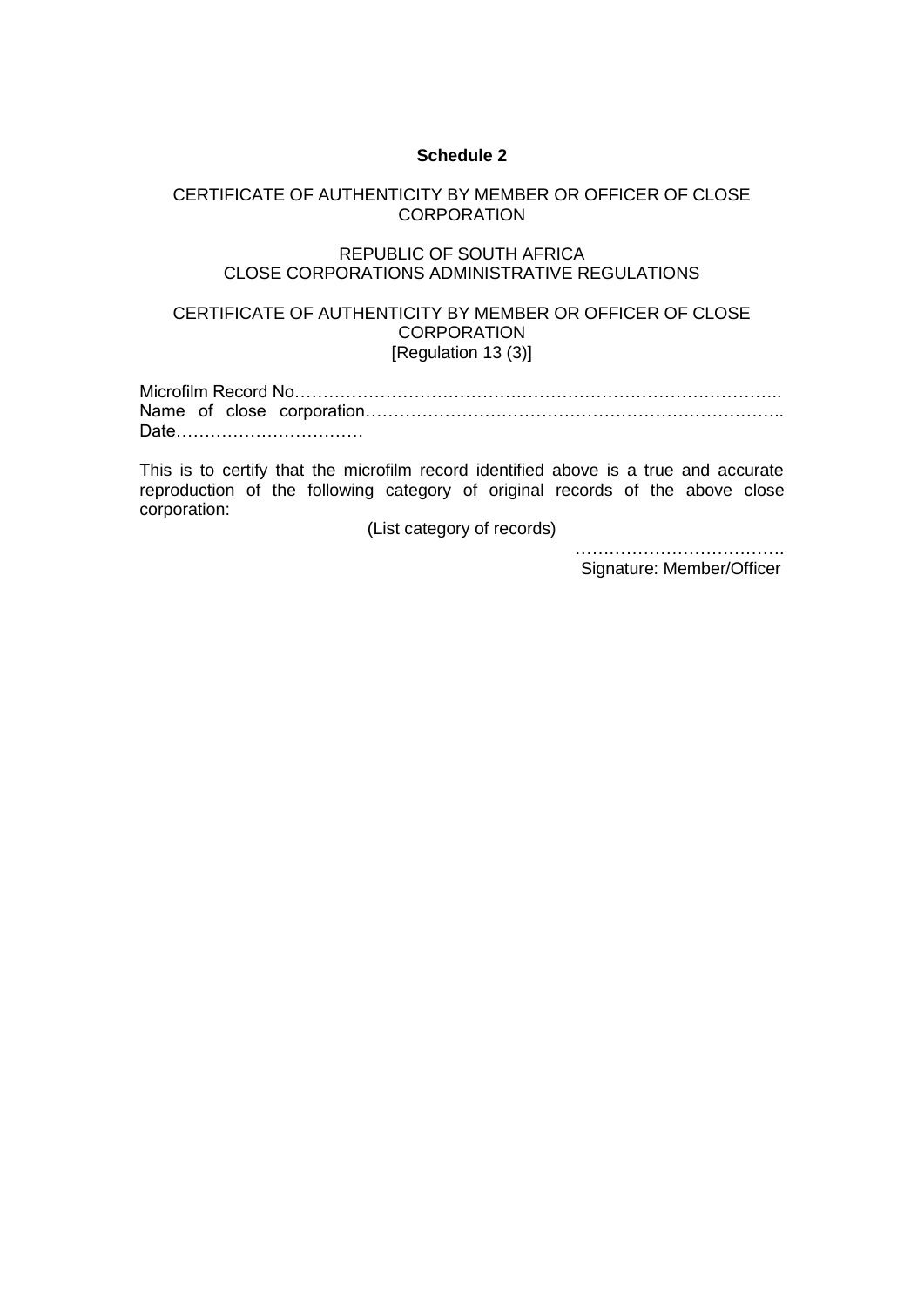# CERTIFICATE OF AUTHENTICITY BY MEMBER OR OFFICER OF CLOSE **CORPORATION**

# REPUBLIC OF SOUTH AFRICA CLOSE CORPORATIONS ADMINISTRATIVE REGULATIONS

# CERTIFICATE OF AUTHENTICITY BY MEMBER OR OFFICER OF CLOSE **CORPORATION** [Regulation 13 (3)]

|  | Date |
|--|------|

This is to certify that the microfilm record identified above is a true and accurate reproduction of the following category of original records of the above close corporation:

(List category of records)

 ………………………………. Signature: Member/Officer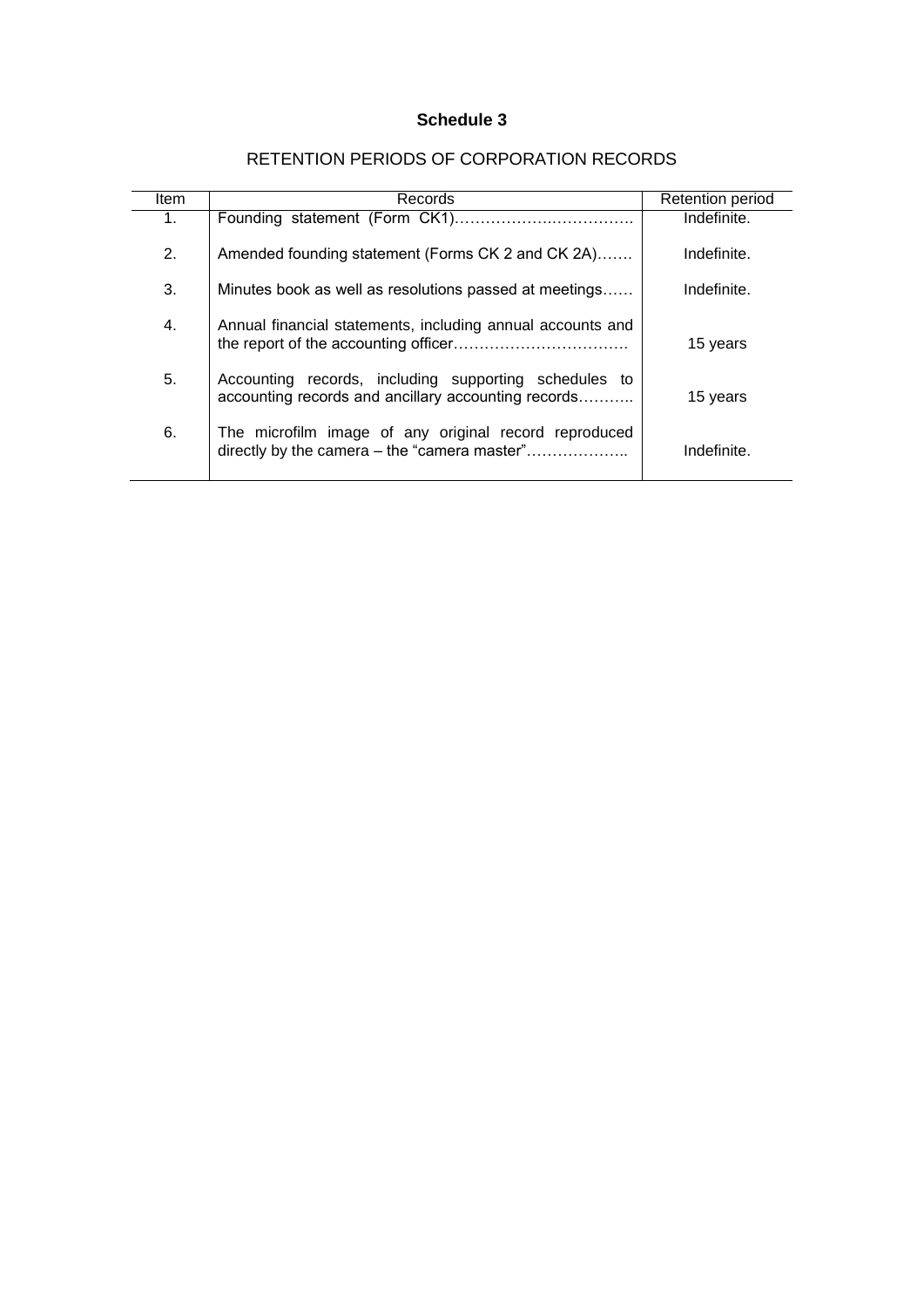| ltem | Records                                                                                                      | Retention period |
|------|--------------------------------------------------------------------------------------------------------------|------------------|
| 1.   |                                                                                                              | Indefinite.      |
| 2.   | Amended founding statement (Forms CK 2 and CK 2A)                                                            | Indefinite.      |
| 3.   | Minutes book as well as resolutions passed at meetings                                                       | Indefinite.      |
| 4.   | Annual financial statements, including annual accounts and                                                   | 15 years         |
| 5.   | Accounting records, including supporting schedules to<br>accounting records and ancillary accounting records | 15 years         |
| 6.   | The microfilm image of any original record reproduced<br>directly by the camera - the "camera master"        | Indefinite.      |

# RETENTION PERIODS OF CORPORATION RECORDS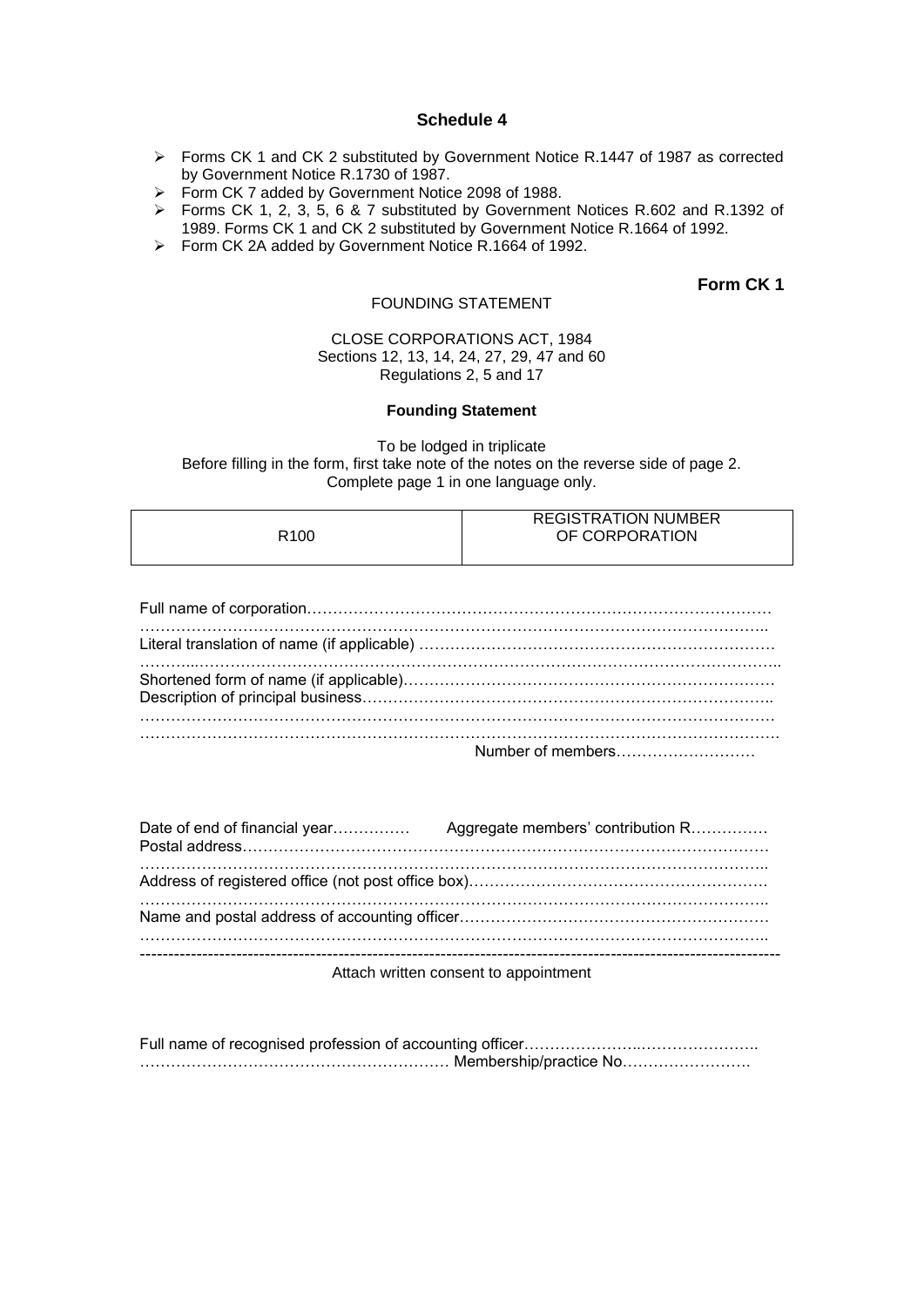- Forms CK 1 and CK 2 substituted by Government Notice R.1447 of 1987 as corrected by Government Notice R.1730 of 1987.
- Form CK 7 added by Government Notice 2098 of 1988.
- Forms CK 1, 2, 3, 5, 6 & 7 substituted by Government Notices R.602 and R.1392 of 1989. Forms CK 1 and CK 2 substituted by Government Notice R.1664 of 1992.
- Form CK 2A added by Government Notice R.1664 of 1992.

# **Form CK 1**

## CLOSE CORPORATIONS ACT, 1984 Sections 12, 13, 14, 24, 27, 29, 47 and 60 Regulations 2, 5 and 17

FOUNDING STATEMENT

#### **Founding Statement**

To be lodged in triplicate Before filling in the form, first take note of the notes on the reverse side of page 2. Complete page 1 in one language only.

|      | <b>REGISTRATION NUMBER</b> |
|------|----------------------------|
| R100 | OF CORPORATION             |
|      |                            |

Attach written consent to appointment

Full name of recognised profession of accounting officer……………………………………………………………… …………………………………………………… Membership/practice No…………………….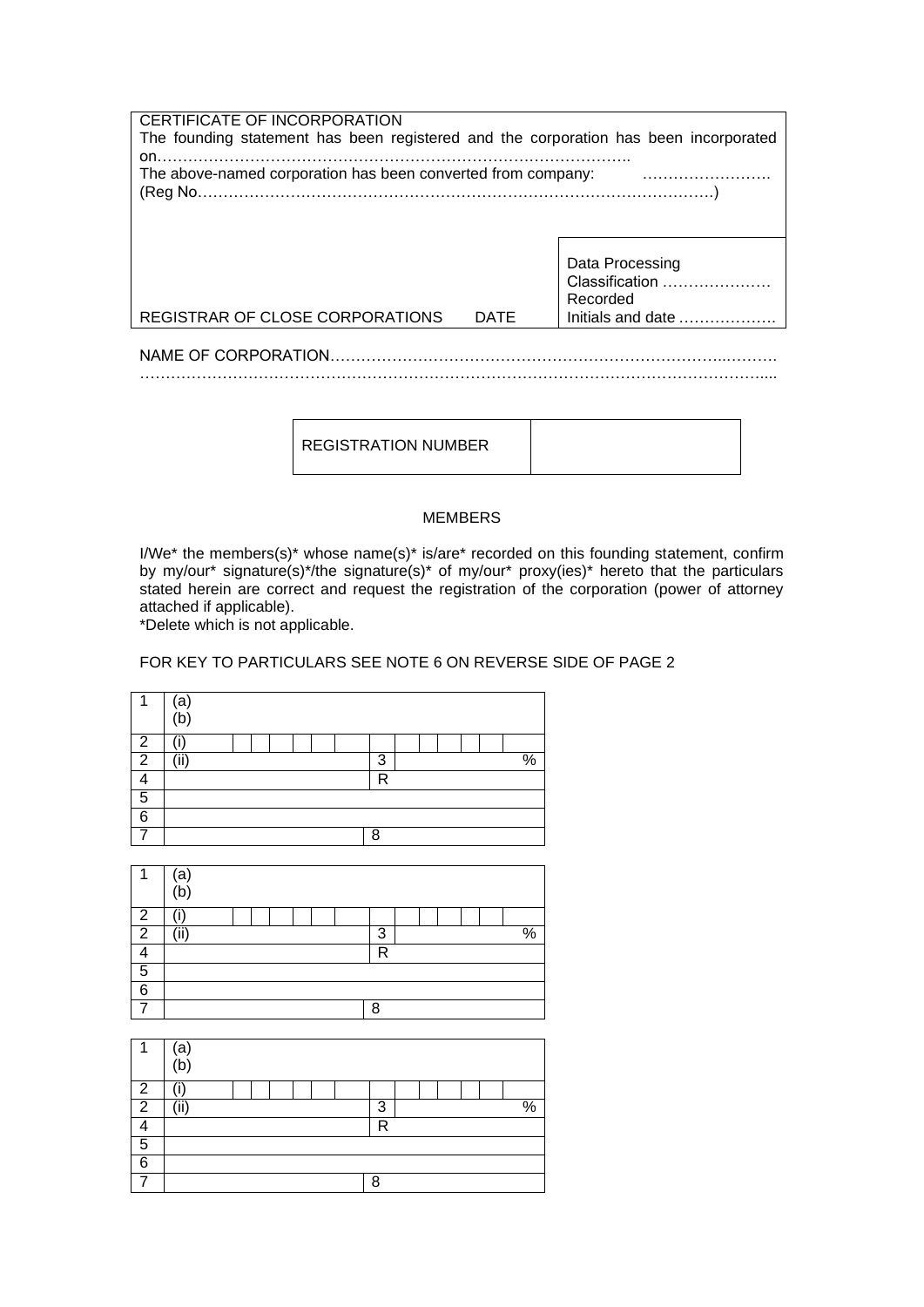| CERTIFICATE OF INCORPORATION                                                         |             |                                                  |
|--------------------------------------------------------------------------------------|-------------|--------------------------------------------------|
| The founding statement has been registered and the corporation has been incorporated |             |                                                  |
| on.                                                                                  |             |                                                  |
| The above-named corporation has been converted from company:                         |             |                                                  |
|                                                                                      |             |                                                  |
|                                                                                      |             |                                                  |
|                                                                                      |             |                                                  |
|                                                                                      |             |                                                  |
|                                                                                      |             | Data Processing                                  |
|                                                                                      |             | Classification                                   |
|                                                                                      |             | Recorded                                         |
| REGISTRAR OF CLOSE CORPORATIONS                                                      | <b>DATE</b> | Initials and date $\ldots$ , $\ldots$ , $\ldots$ |
|                                                                                      |             |                                                  |
|                                                                                      |             |                                                  |
|                                                                                      |             |                                                  |

REGISTRATION NUMBER

# MEMBERS

I/We\* the members(s)\* whose name(s)\* is/are\* recorded on this founding statement, confirm by my/our\* signature(s)\*/the signature(s)\* of my/our\* proxy(ies)\* hereto that the particulars stated herein are correct and request the registration of the corporation (power of attorney attached if applicable).

\*Delete which is not applicable.

# FOR KEY TO PARTICULARS SEE NOTE 6 ON REVERSE SIDE OF PAGE 2



|   | ā   |  |   |  |  |                     |  |  |  |
|---|-----|--|---|--|--|---------------------|--|--|--|
|   | b   |  |   |  |  |                     |  |  |  |
| っ |     |  |   |  |  |                     |  |  |  |
| 2 | ٬:۱ |  | 3 |  |  | $\mathsf{o}/$<br>7ο |  |  |  |
|   |     |  |   |  |  | R                   |  |  |  |
| 5 |     |  |   |  |  |                     |  |  |  |
| 6 |     |  |   |  |  |                     |  |  |  |
|   |     |  |   |  |  | 8                   |  |  |  |

|   | ъ,  |  |  |  |  |   |  |  |  |               |
|---|-----|--|--|--|--|---|--|--|--|---------------|
|   | þ.  |  |  |  |  |   |  |  |  |               |
| ົ | ٠   |  |  |  |  |   |  |  |  |               |
| ◠ | (ii |  |  |  |  | 3 |  |  |  | $\frac{0}{0}$ |
|   |     |  |  |  |  | R |  |  |  |               |
| 5 |     |  |  |  |  |   |  |  |  |               |
| 6 |     |  |  |  |  |   |  |  |  |               |
|   |     |  |  |  |  | 8 |  |  |  |               |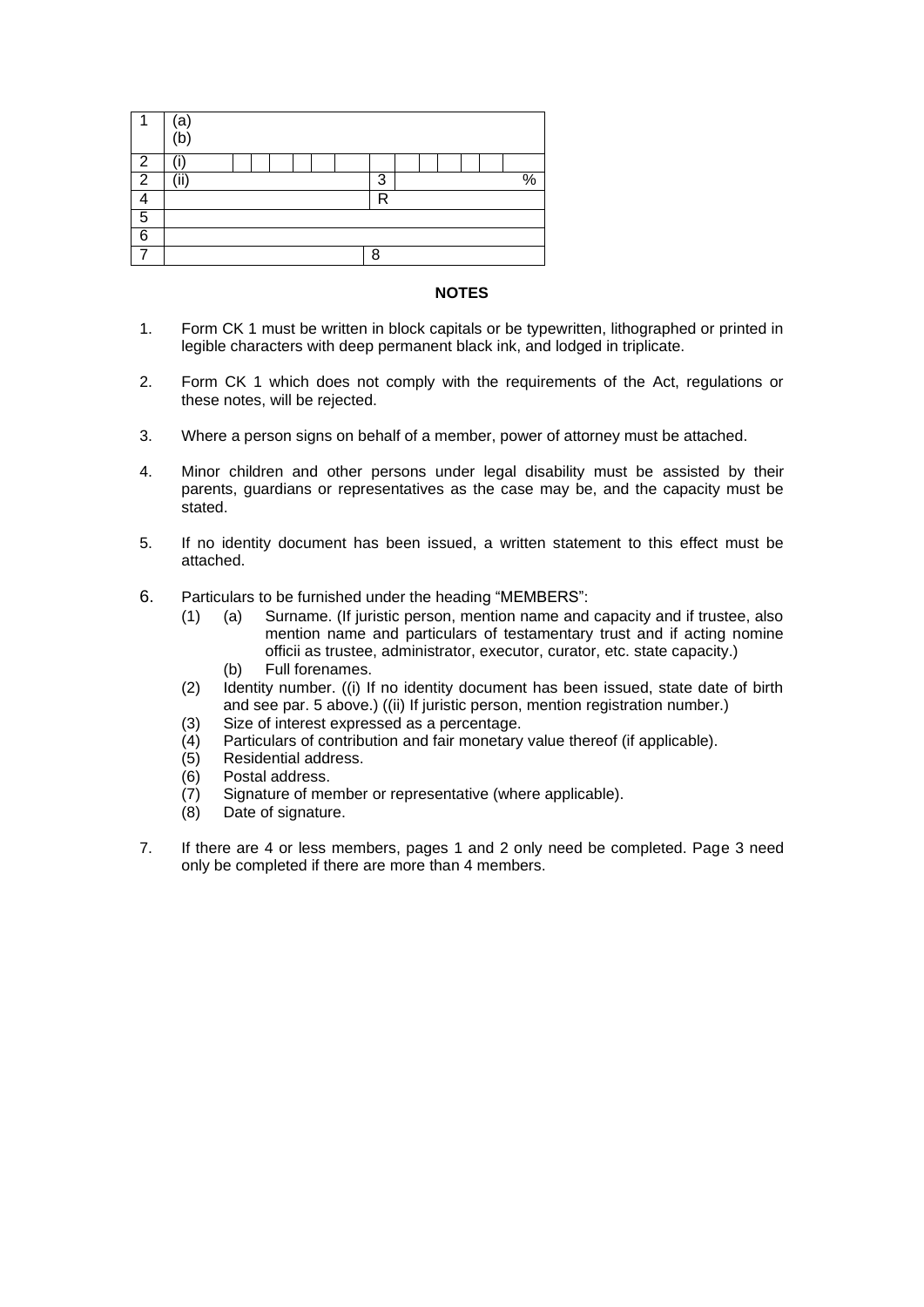|   | a<br>b |  |  |  |   |  |  |  |          |
|---|--------|--|--|--|---|--|--|--|----------|
| n |        |  |  |  |   |  |  |  |          |
| Ω | ,      |  |  |  | 3 |  |  |  | O/<br>'n |
|   |        |  |  |  | R |  |  |  |          |
| 5 |        |  |  |  |   |  |  |  |          |
| 6 |        |  |  |  |   |  |  |  |          |
|   |        |  |  |  | c |  |  |  |          |

#### **NOTES**

- 1. Form CK 1 must be written in block capitals or be typewritten, lithographed or printed in legible characters with deep permanent black ink, and lodged in triplicate.
- 2. Form CK 1 which does not comply with the requirements of the Act, regulations or these notes, will be rejected.
- 3. Where a person signs on behalf of a member, power of attorney must be attached.
- 4. Minor children and other persons under legal disability must be assisted by their parents, guardians or representatives as the case may be, and the capacity must be stated.
- 5. If no identity document has been issued, a written statement to this effect must be attached.
- 6. Particulars to be furnished under the heading "MEMBERS":
	- (1) (a) Surname. (If juristic person, mention name and capacity and if trustee, also mention name and particulars of testamentary trust and if acting nomine officii as trustee, administrator, executor, curator, etc. state capacity.)
		- (b) Full forenames.
	- (2) Identity number. ((i) If no identity document has been issued, state date of birth and see par. 5 above.) ((ii) If juristic person, mention registration number.)
	- (3) Size of interest expressed as a percentage.
	- (4) Particulars of contribution and fair monetary value thereof (if applicable).
	- (5) Residential address.
	- (6) Postal address.
	- (7) Signature of member or representative (where applicable).
	- (8) Date of signature.
- 7. If there are 4 or less members, pages 1 and 2 only need be completed. Page 3 need only be completed if there are more than 4 members.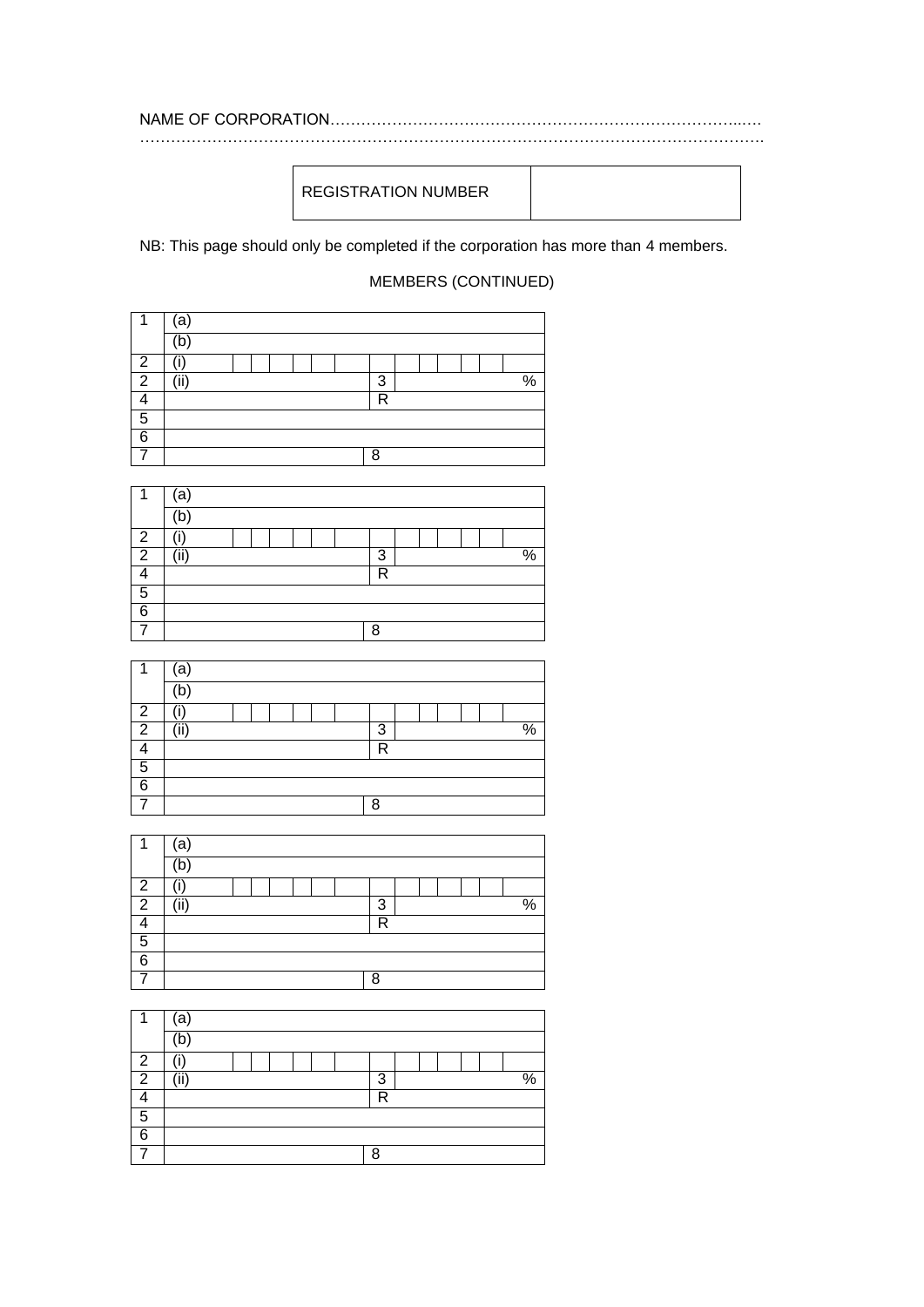REGISTRATION NUMBER

NB: This page should only be completed if the corporation has more than 4 members.

MEMBERS (CONTINUED)

|   | a |  |  |  |                    |  |  |  |  |  |  |  |
|---|---|--|--|--|--------------------|--|--|--|--|--|--|--|
|   |   |  |  |  |                    |  |  |  |  |  |  |  |
| ∩ |   |  |  |  |                    |  |  |  |  |  |  |  |
| ◠ |   |  |  |  | $\frac{0}{0}$<br>3 |  |  |  |  |  |  |  |
|   |   |  |  |  | R                  |  |  |  |  |  |  |  |
| 5 |   |  |  |  |                    |  |  |  |  |  |  |  |
| ี |   |  |  |  |                    |  |  |  |  |  |  |  |
|   |   |  |  |  | Я                  |  |  |  |  |  |  |  |

|   | а    |  |  |  |   |  |  |                 |
|---|------|--|--|--|---|--|--|-----------------|
|   | 'b   |  |  |  |   |  |  |                 |
| っ |      |  |  |  |   |  |  |                 |
| 2 | (ii) |  |  |  | 3 |  |  | $\overline{\%}$ |
|   |      |  |  |  | R |  |  |                 |
| 5 |      |  |  |  |   |  |  |                 |
| 6 |      |  |  |  |   |  |  |                 |
|   |      |  |  |  | Я |  |  |                 |

|   | a             |  |  |  |  |   |  |  |  |                 |
|---|---------------|--|--|--|--|---|--|--|--|-----------------|
|   | b             |  |  |  |  |   |  |  |  |                 |
| ◠ |               |  |  |  |  |   |  |  |  |                 |
| ◠ | $\cdots$<br>ш |  |  |  |  | 3 |  |  |  | $\overline{\%}$ |
|   |               |  |  |  |  | R |  |  |  |                 |
| 5 |               |  |  |  |  |   |  |  |  |                 |
| 6 |               |  |  |  |  |   |  |  |  |                 |
|   |               |  |  |  |  | 8 |  |  |  |                 |

|   | a    |   |  |  |               |
|---|------|---|--|--|---------------|
|   |      |   |  |  |               |
| 2 |      |   |  |  |               |
| 2 | '::/ | 3 |  |  | $\frac{0}{0}$ |
|   |      | R |  |  |               |
| 5 |      |   |  |  |               |
| 6 |      |   |  |  |               |
|   |      | 8 |  |  |               |
|   |      |   |  |  |               |

|   | a    |  |  |  |   |  |  |                 |
|---|------|--|--|--|---|--|--|-----------------|
|   | ь    |  |  |  |   |  |  |                 |
| っ |      |  |  |  |   |  |  |                 |
| ာ | '::/ |  |  |  | 3 |  |  | $\overline{\%}$ |
|   |      |  |  |  | R |  |  |                 |
| 5 |      |  |  |  |   |  |  |                 |
| 6 |      |  |  |  |   |  |  |                 |
|   |      |  |  |  | 8 |  |  |                 |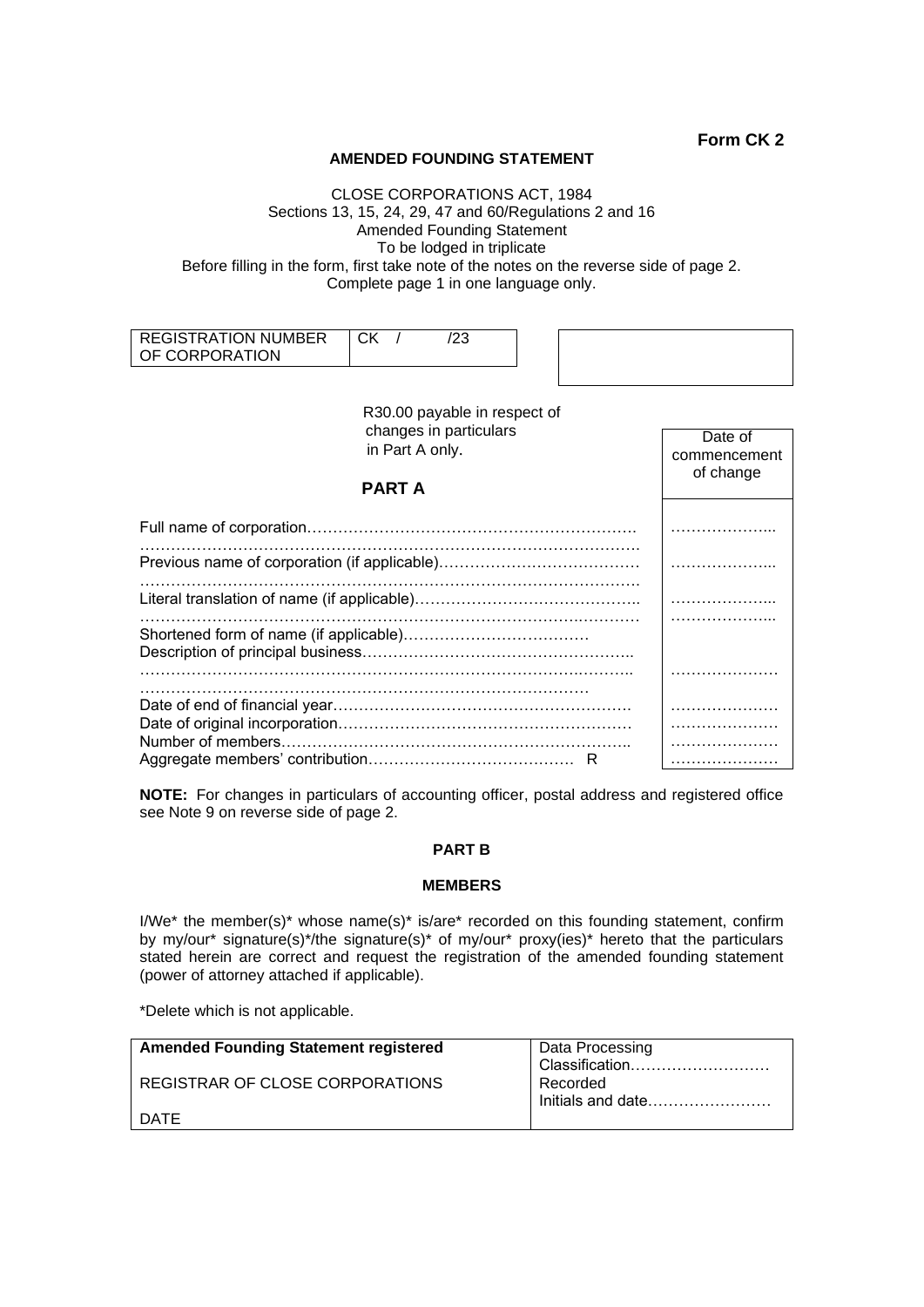## **AMENDED FOUNDING STATEMENT**

### CLOSE CORPORATIONS ACT, 1984 Sections 13, 15, 24, 29, 47 and 60/Regulations 2 and 16 Amended Founding Statement To be lodged in triplicate Before filling in the form, first take note of the notes on the reverse side of page 2. Complete page 1 in one language only.

| REGISTRATION NUMBER<br>OF CORPORATION | יי<br>◡́∩ |  |  |
|---------------------------------------|-----------|--|--|
|                                       |           |  |  |

| R30.00 payable in respect of<br>changes in particulars<br>in Part A only.<br><b>PART A</b> | Date of<br>commencement<br>of change |
|--------------------------------------------------------------------------------------------|--------------------------------------|
|                                                                                            |                                      |
|                                                                                            |                                      |
|                                                                                            |                                      |
|                                                                                            |                                      |
| Number of members.                                                                         |                                      |

**NOTE:** For changes in particulars of accounting officer, postal address and registered office see Note 9 on reverse side of page 2.

# **PART B**

## **MEMBERS**

I/We\* the member(s)\* whose name(s)\* is/are\* recorded on this founding statement, confirm by my/our\* signature(s)\*/the signature(s)\* of my/our\* proxy(ies)\* hereto that the particulars stated herein are correct and request the registration of the amended founding statement (power of attorney attached if applicable).

\*Delete which is not applicable.

| <b>Amended Founding Statement registered</b> | Data Processing   |
|----------------------------------------------|-------------------|
|                                              | Classification    |
| REGISTRAR OF CLOSE CORPORATIONS              | Recorded          |
|                                              | Initials and date |
| DATE                                         |                   |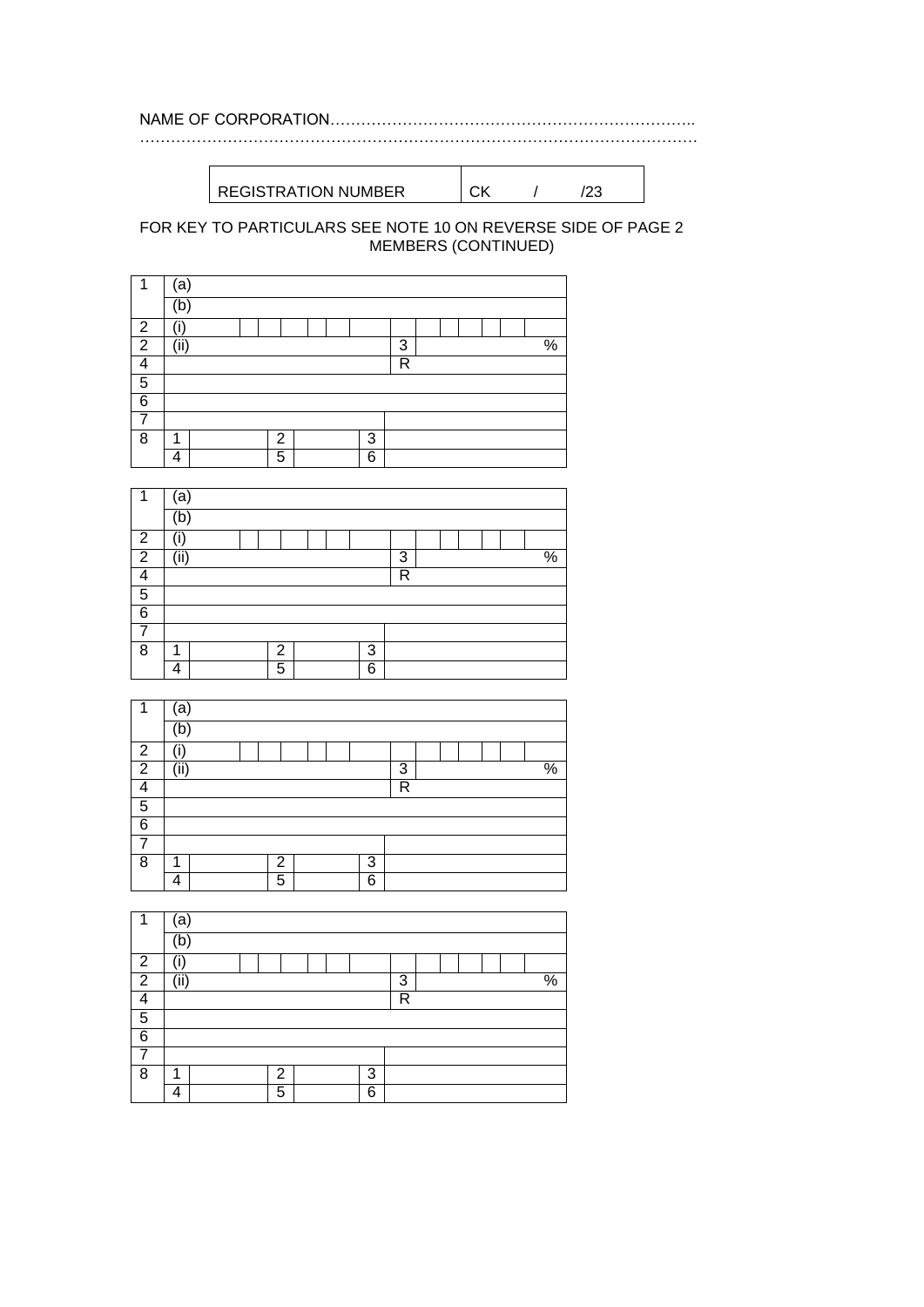NAME OF CORPORATION…………………………………………………………….. ………………………………………………………………………………………………

REGISTRATION NUMBER CK / /23

# FOR KEY TO PARTICULARS SEE NOTE 10 ON REVERSE SIDE OF PAGE 2 MEMBERS (CONTINUED)

| ٠              | a    |  |   |  |   |   |  |  |      |
|----------------|------|--|---|--|---|---|--|--|------|
|                | 'b   |  |   |  |   |   |  |  |      |
| $\overline{2}$ | '،'  |  |   |  |   |   |  |  |      |
| $\overline{2}$ | (ii) |  |   |  |   | 3 |  |  | $\%$ |
| Δ              |      |  |   |  |   | R |  |  |      |
| 5              |      |  |   |  |   |   |  |  |      |
| 6              |      |  |   |  |   |   |  |  |      |
|                |      |  |   |  |   |   |  |  |      |
| 8              | ٩    |  | 2 |  | 3 |   |  |  |      |
|                | л    |  | 5 |  | 6 |   |  |  |      |

|                | a    |  |  |   |  |  |   |                |  |  |               |
|----------------|------|--|--|---|--|--|---|----------------|--|--|---------------|
|                | 'b   |  |  |   |  |  |   |                |  |  |               |
| $\overline{2}$ |      |  |  |   |  |  |   |                |  |  |               |
| $\overline{2}$ | (ii) |  |  |   |  |  |   | 3              |  |  | $\frac{9}{6}$ |
| 4              |      |  |  |   |  |  |   | $\overline{R}$ |  |  |               |
| 5              |      |  |  |   |  |  |   |                |  |  |               |
| $\overline{6}$ |      |  |  |   |  |  |   |                |  |  |               |
|                |      |  |  |   |  |  |   |                |  |  |               |
| 8              | ٠    |  |  | 2 |  |  | 3 |                |  |  |               |
|                | 4    |  |  | 5 |  |  | 6 |                |  |  |               |

| ٠              | a   |  |                |  |   |   |  |  |                 |
|----------------|-----|--|----------------|--|---|---|--|--|-----------------|
|                | h   |  |                |  |   |   |  |  |                 |
| 2              |     |  |                |  |   |   |  |  |                 |
| $\overline{2}$ | (ii |  |                |  |   | 3 |  |  | $\overline{\%}$ |
| Λ              |     |  |                |  |   | R |  |  |                 |
| 5              |     |  |                |  |   |   |  |  |                 |
| 6              |     |  |                |  |   |   |  |  |                 |
|                |     |  |                |  |   |   |  |  |                 |
| 8              | ٠   |  | $\overline{2}$ |  | 3 |   |  |  |                 |
|                | 4   |  | 5              |  | 6 |   |  |  |                 |

| 4              | a     |  |                |  |   |                |  |  |               |
|----------------|-------|--|----------------|--|---|----------------|--|--|---------------|
|                | b     |  |                |  |   |                |  |  |               |
| $\overline{2}$ |       |  |                |  |   |                |  |  |               |
| $\overline{2}$ | (iii) |  |                |  |   | 3              |  |  | $\frac{8}{6}$ |
| Λ              |       |  |                |  |   | $\overline{R}$ |  |  |               |
| 5              |       |  |                |  |   |                |  |  |               |
| 6              |       |  |                |  |   |                |  |  |               |
|                |       |  |                |  |   |                |  |  |               |
| 8              | ٠     |  | $\overline{2}$ |  | 3 |                |  |  |               |
|                | 4     |  | 5              |  | 6 |                |  |  |               |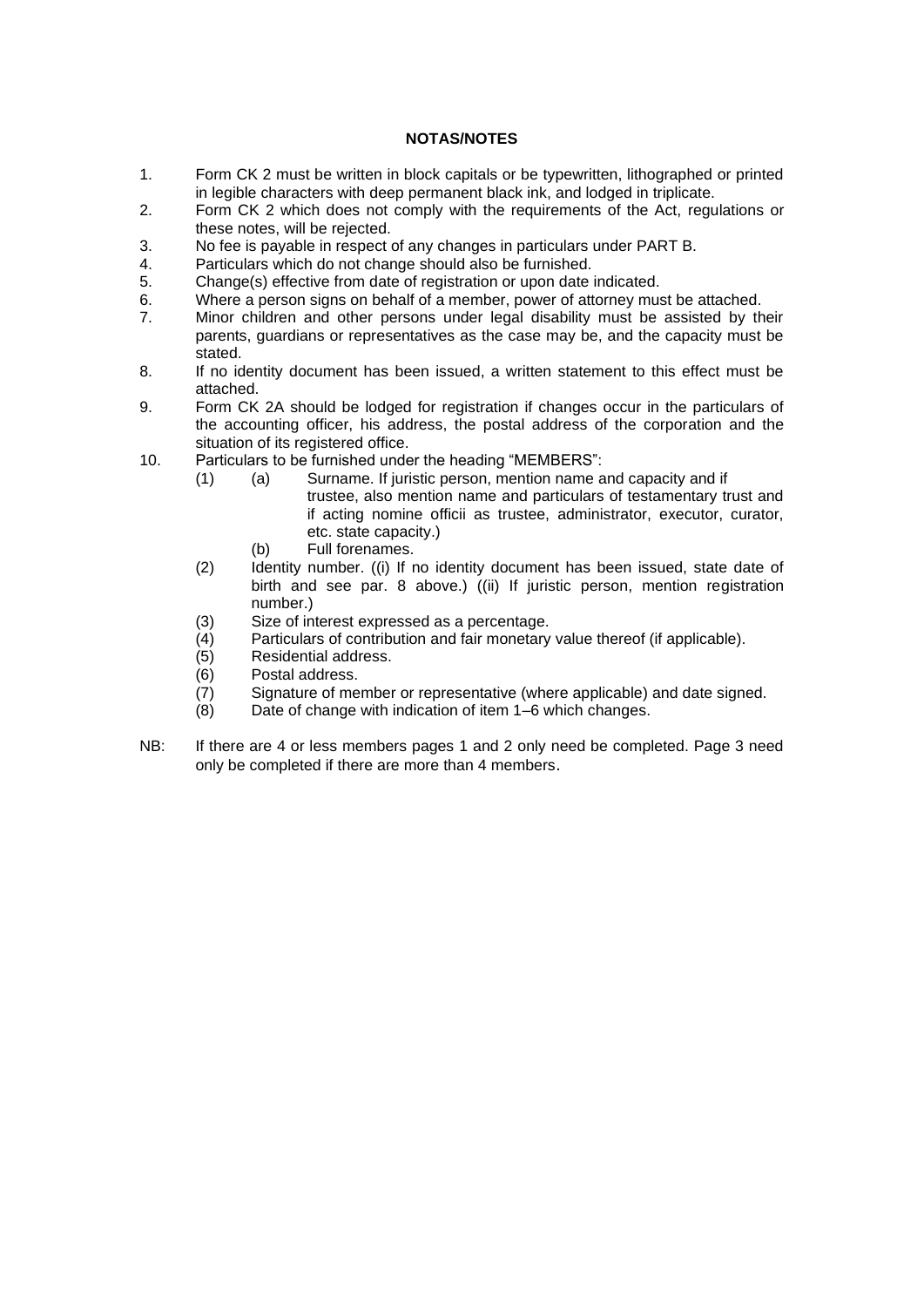# **NOTAS/NOTES**

- 1. Form CK 2 must be written in block capitals or be typewritten, lithographed or printed in legible characters with deep permanent black ink, and lodged in triplicate.
- 2. Form CK 2 which does not comply with the requirements of the Act, regulations or these notes, will be rejected.
- 3. No fee is payable in respect of any changes in particulars under PART B.
- 4. Particulars which do not change should also be furnished.<br>5. Change(s) effective from date of registration or upon date
- 5. Change(s) effective from date of registration or upon date indicated.
- 6. Where a person signs on behalf of a member, power of attorney must be attached.
- 7. Minor children and other persons under legal disability must be assisted by their parents, guardians or representatives as the case may be, and the capacity must be stated.
- 8. If no identity document has been issued, a written statement to this effect must be attached.
- 9. Form CK 2A should be lodged for registration if changes occur in the particulars of the accounting officer, his address, the postal address of the corporation and the situation of its registered office.
- 10. Particulars to be furnished under the heading "MEMBERS":
	- (1) (a) Surname. If juristic person, mention name and capacity and if trustee, also mention name and particulars of testamentary trust and if acting nomine officii as trustee, administrator, executor, curator, etc. state capacity.)
		- (b) Full forenames.
	- (2) Identity number. ((i) If no identity document has been issued, state date of birth and see par. 8 above.) ((ii) If juristic person, mention registration number.)
	- (3) Size of interest expressed as a percentage.
	- (4) Particulars of contribution and fair monetary value thereof (if applicable).
	- (5) Residential address.
	- (6) Postal address.
	- (7) Signature of member or representative (where applicable) and date signed.
	- (8) Date of change with indication of item 1–6 which changes.
- NB: If there are 4 or less members pages 1 and 2 only need be completed. Page 3 need only be completed if there are more than 4 members.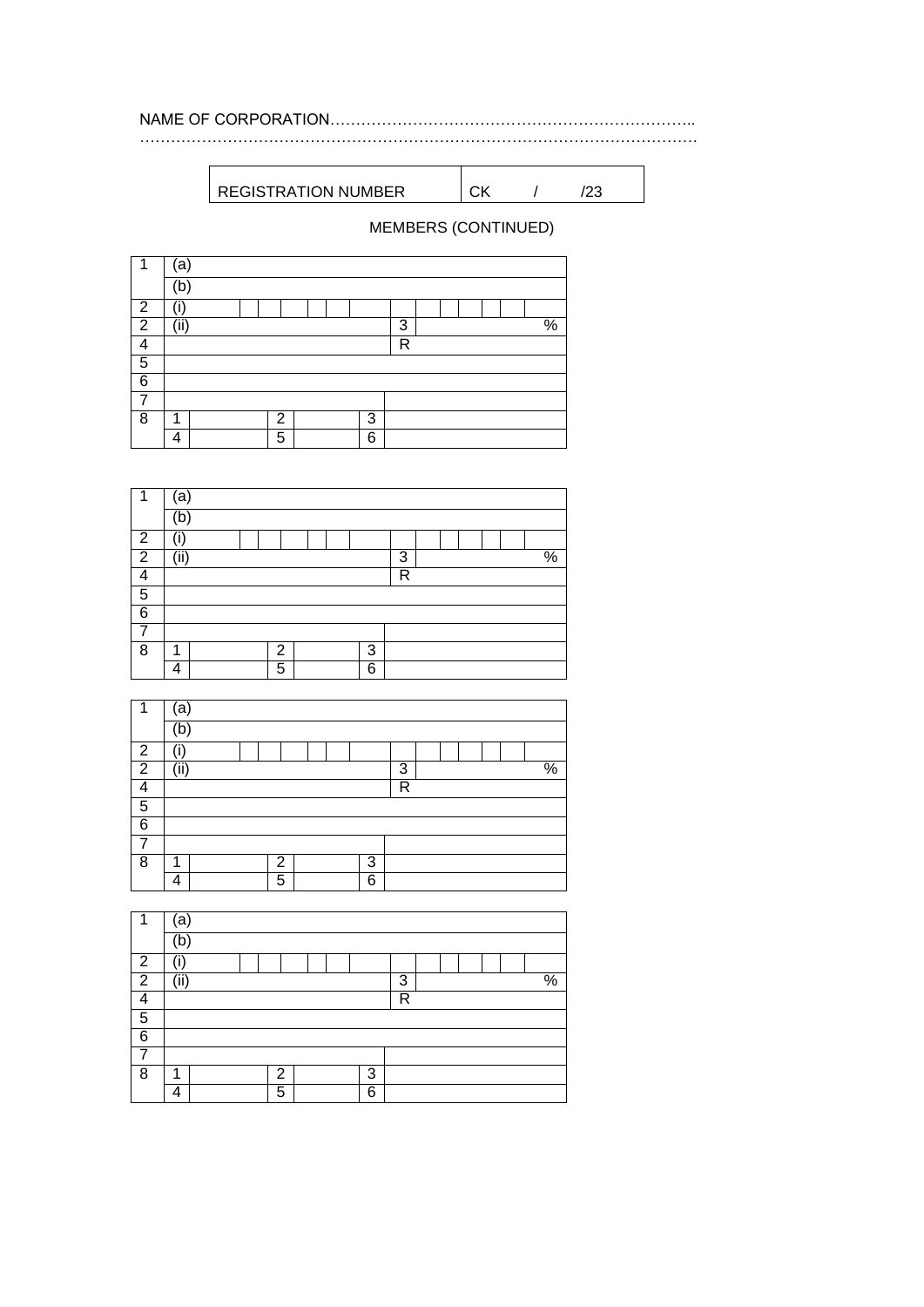REGISTRATION NUMBER CK / /23

# MEMBERS (CONTINUED)

………………………………………………………………………………………………

| 4              | a    |  |                |  |   |                         |  |  |                 |
|----------------|------|--|----------------|--|---|-------------------------|--|--|-----------------|
|                | b    |  |                |  |   |                         |  |  |                 |
| $\overline{2}$ |      |  |                |  |   |                         |  |  |                 |
| $\overline{2}$ | (ii) |  |                |  |   | 3                       |  |  | $\overline{\%}$ |
|                |      |  |                |  |   | $\overline{\mathsf{R}}$ |  |  |                 |
| 5              |      |  |                |  |   |                         |  |  |                 |
| 6              |      |  |                |  |   |                         |  |  |                 |
|                |      |  |                |  |   |                         |  |  |                 |
| 8              |      |  | $\overline{2}$ |  | 3 |                         |  |  |                 |
|                | 4    |  | 5              |  | 6 |                         |  |  |                 |

| 1              | a    |  |  |                |  |  |   |   |  |  |  |                 |
|----------------|------|--|--|----------------|--|--|---|---|--|--|--|-----------------|
|                | b    |  |  |                |  |  |   |   |  |  |  |                 |
| $\overline{2}$ |      |  |  |                |  |  |   |   |  |  |  |                 |
| $\overline{2}$ | (ii) |  |  |                |  |  |   | 3 |  |  |  | $\overline{\%}$ |
| л              |      |  |  |                |  |  |   | R |  |  |  |                 |
| 5              |      |  |  |                |  |  |   |   |  |  |  |                 |
| $\overline{6}$ |      |  |  |                |  |  |   |   |  |  |  |                 |
|                |      |  |  |                |  |  |   |   |  |  |  |                 |
| 8              | 1    |  |  | $\overline{2}$ |  |  | 3 |   |  |  |  |                 |
|                | 4    |  |  | 5              |  |  | 6 |   |  |  |  |                 |

| ٠              | а        |  |  |                |  |  |   |                         |  |  |  |                 |
|----------------|----------|--|--|----------------|--|--|---|-------------------------|--|--|--|-----------------|
|                | b        |  |  |                |  |  |   |                         |  |  |  |                 |
| $\overline{2}$ | ,,,<br>п |  |  |                |  |  |   |                         |  |  |  |                 |
| $\overline{2}$ | (iii)    |  |  |                |  |  |   | 3                       |  |  |  | $\overline{\%}$ |
| Δ              |          |  |  |                |  |  |   | $\overline{\mathsf{R}}$ |  |  |  |                 |
| 5              |          |  |  |                |  |  |   |                         |  |  |  |                 |
| 6              |          |  |  |                |  |  |   |                         |  |  |  |                 |
|                |          |  |  |                |  |  |   |                         |  |  |  |                 |
| $\overline{8}$ | 1        |  |  | $\overline{2}$ |  |  | 3 |                         |  |  |  |                 |
|                | Δ        |  |  | 5              |  |  | 6 |                         |  |  |  |                 |

| 4              | ʻa                       |  |                |  |   |   |  |  |               |
|----------------|--------------------------|--|----------------|--|---|---|--|--|---------------|
|                | ď                        |  |                |  |   |   |  |  |               |
| $\overline{2}$ | Ī                        |  |                |  |   |   |  |  |               |
| $\overline{2}$ | $\overline{\text{(ii)}}$ |  |                |  |   | 3 |  |  | $\frac{8}{6}$ |
| Λ              |                          |  |                |  |   | R |  |  |               |
| 5              |                          |  |                |  |   |   |  |  |               |
| $\overline{6}$ |                          |  |                |  |   |   |  |  |               |
|                |                          |  |                |  |   |   |  |  |               |
| 8              | 1                        |  | $\overline{2}$ |  | 3 |   |  |  |               |
|                | 4                        |  | 5              |  | 6 |   |  |  |               |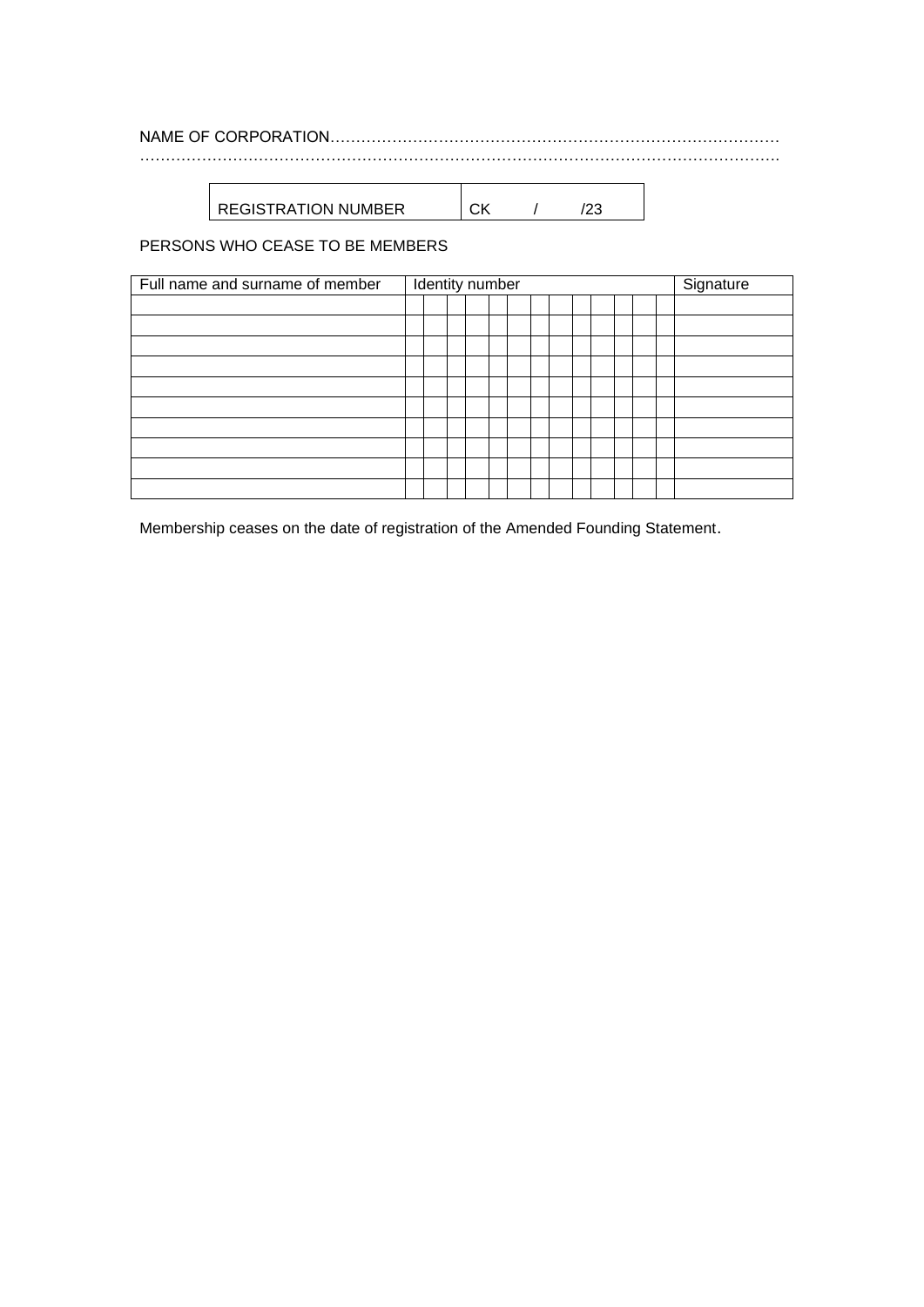# NAME OF CORPORATION…………………………………………………………………………… …………………………………………………………………………………………………………….

 $REGISTRATION NUMBER$   $CK$  / /23

PERSONS WHO CEASE TO BE MEMBERS

| Full name and surname of member |  | Identity number |  |  |  |  | Signature |
|---------------------------------|--|-----------------|--|--|--|--|-----------|
|                                 |  |                 |  |  |  |  |           |
|                                 |  |                 |  |  |  |  |           |
|                                 |  |                 |  |  |  |  |           |
|                                 |  |                 |  |  |  |  |           |
|                                 |  |                 |  |  |  |  |           |
|                                 |  |                 |  |  |  |  |           |
|                                 |  |                 |  |  |  |  |           |
|                                 |  |                 |  |  |  |  |           |
|                                 |  |                 |  |  |  |  |           |
|                                 |  |                 |  |  |  |  |           |

Membership ceases on the date of registration of the Amended Founding Statement.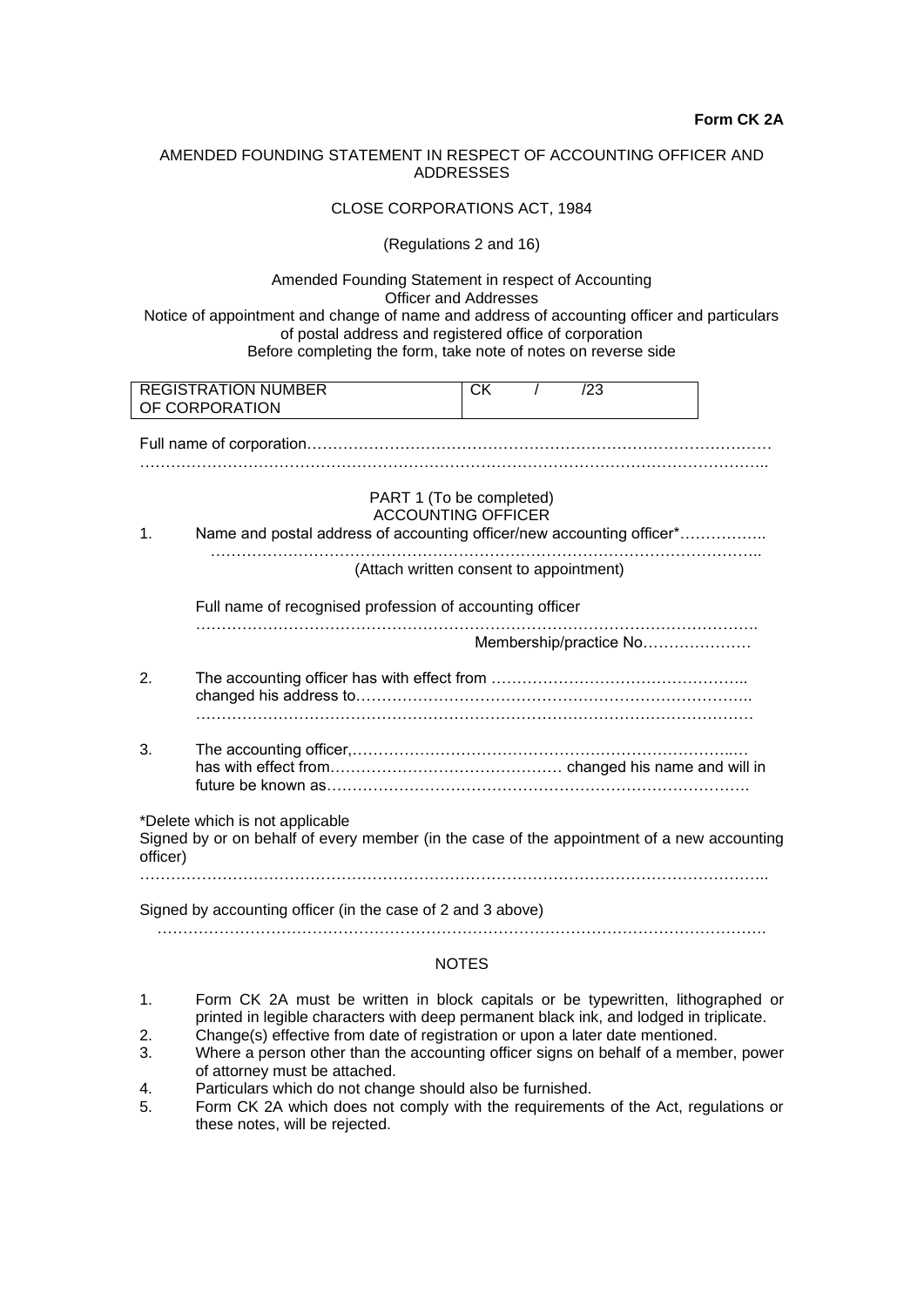## AMENDED FOUNDING STATEMENT IN RESPECT OF ACCOUNTING OFFICER AND ADDRESSES

#### CLOSE CORPORATIONS ACT, 1984

#### (Regulations 2 and 16)

Amended Founding Statement in respect of Accounting Officer and Addresses

Notice of appointment and change of name and address of accounting officer and particulars of postal address and registered office of corporation Before completing the form, take note of notes on reverse side

|          | <b>REGISTRATION NUMBER</b><br>OF CORPORATION                                                                                   | <b>CK</b> | /23                    |  |
|----------|--------------------------------------------------------------------------------------------------------------------------------|-----------|------------------------|--|
|          |                                                                                                                                |           |                        |  |
| 1.       | PART 1 (To be completed)<br><b>ACCOUNTING OFFICER</b><br>Name and postal address of accounting officer/new accounting officer* |           |                        |  |
|          | (Attach written consent to appointment)                                                                                        |           |                        |  |
|          | Full name of recognised profession of accounting officer                                                                       |           |                        |  |
|          |                                                                                                                                |           | Membership/practice No |  |
| 2.       |                                                                                                                                |           |                        |  |
| 3.       |                                                                                                                                |           |                        |  |
| officer) | *Delete which is not applicable<br>Signed by or on behalf of every member (in the case of the appointment of a new accounting  |           |                        |  |
|          | Signed by accounting officer (in the case of 2 and 3 above)                                                                    |           |                        |  |
|          |                                                                                                                                |           |                        |  |

# **NOTES**

- 1. Form CK 2A must be written in block capitals or be typewritten, lithographed or printed in legible characters with deep permanent black ink, and lodged in triplicate.
- 2. Change(s) effective from date of registration or upon a later date mentioned.<br>3. Where a person other than the accounting officer signs on behalf of a member
- Where a person other than the accounting officer signs on behalf of a member, power of attorney must be attached.
- 4. Particulars which do not change should also be furnished.
- 5. Form CK 2A which does not comply with the requirements of the Act, regulations or these notes, will be rejected.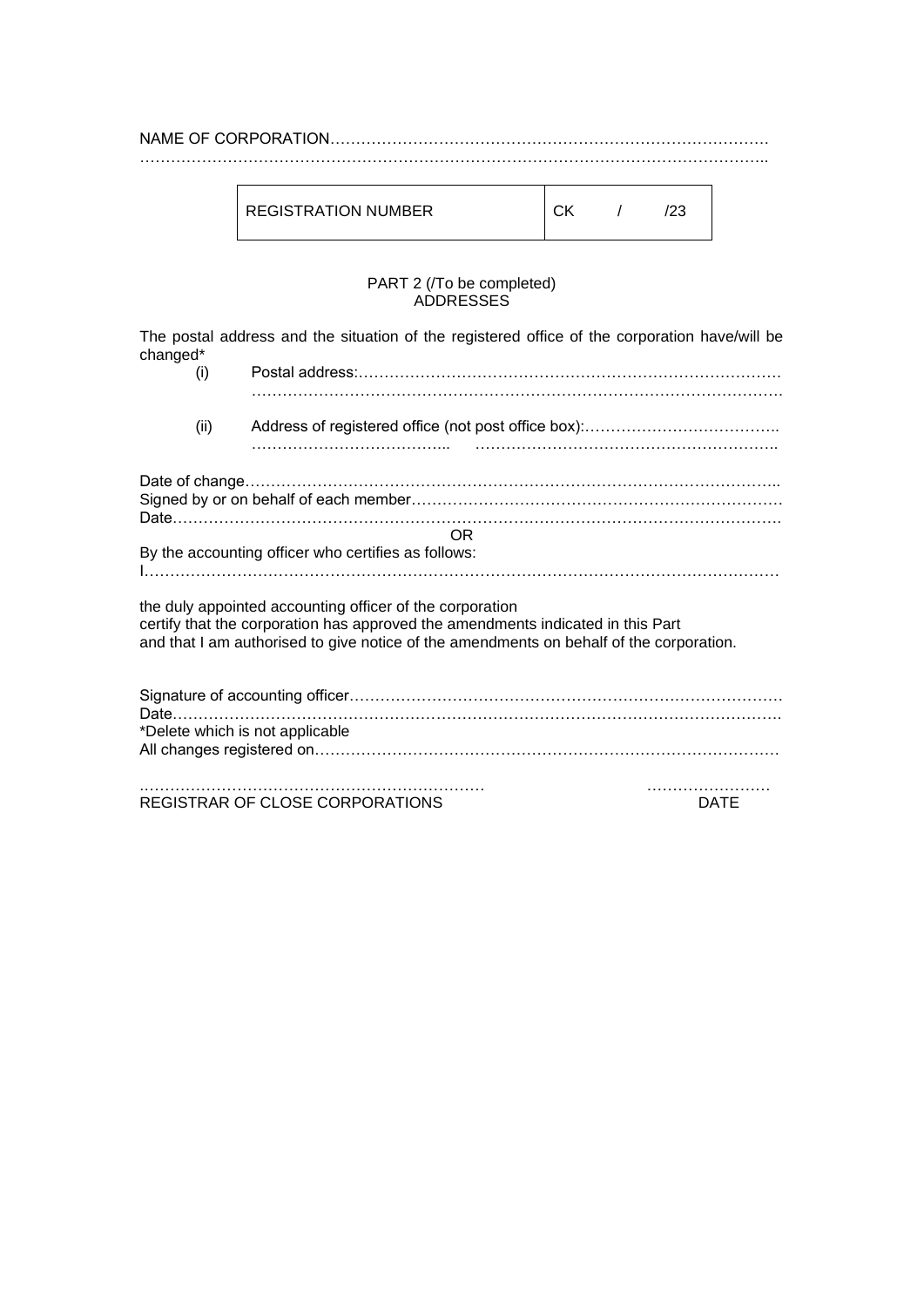NAME OF CORPORATION…………………………………………………………………………. …………………………………………………………………………………………………………..

| REGISTRATION NUMBER | ∩v |  | '23 |
|---------------------|----|--|-----|
|---------------------|----|--|-----|

## PART 2 (/To be completed) ADDRESSES

The postal address and the situation of the registered office of the corporation have/will be changed\*

| (i)  |                                                                                                                                                                                                                                        |             |
|------|----------------------------------------------------------------------------------------------------------------------------------------------------------------------------------------------------------------------------------------|-------------|
| (ii) |                                                                                                                                                                                                                                        |             |
|      |                                                                                                                                                                                                                                        |             |
|      | <b>OR</b>                                                                                                                                                                                                                              |             |
|      | By the accounting officer who certifies as follows:                                                                                                                                                                                    |             |
|      | the duly appointed accounting officer of the corporation<br>certify that the corporation has approved the amendments indicated in this Part<br>and that I am authorised to give notice of the amendments on behalf of the corporation. |             |
|      | *Delete which is not applicable                                                                                                                                                                                                        |             |
|      | REGISTRAR OF CLOSE CORPORATIONS                                                                                                                                                                                                        | <b>DATE</b> |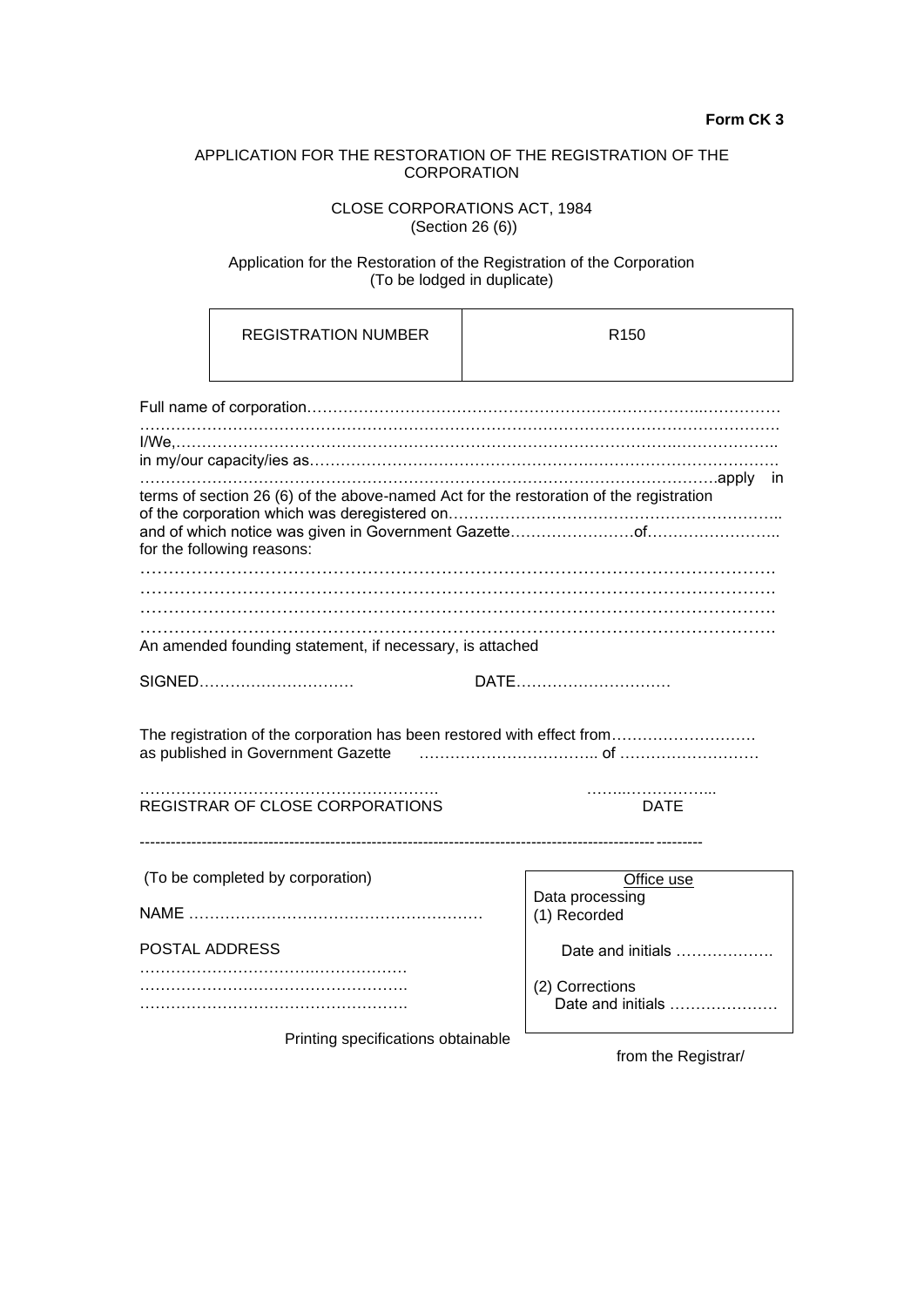# APPLICATION FOR THE RESTORATION OF THE REGISTRATION OF THE **CORPORATION**

# CLOSE CORPORATIONS ACT, 1984 (Section 26 (6))

#### Application for the Restoration of the Registration of the Corporation (To be lodged in duplicate)

| <b>REGISTRATION NUMBER</b>                                                                                                             | R <sub>150</sub>                     |
|----------------------------------------------------------------------------------------------------------------------------------------|--------------------------------------|
|                                                                                                                                        |                                      |
|                                                                                                                                        |                                      |
| terms of section 26 (6) of the above-named Act for the restoration of the registration<br>for the following reasons:                   |                                      |
| An amended founding statement, if necessary, is attached                                                                               |                                      |
| SIGNED                                                                                                                                 | DATE                                 |
| The registration of the corporation has been restored with effect from<br>as published in Government Gazette  ……………………………………………………………… |                                      |
| REGISTRAR OF CLOSE CORPORATIONS                                                                                                        | DATE                                 |
| (To be completed by corporation)                                                                                                       | Office use                           |
|                                                                                                                                        | Data processing<br>(1) Recorded      |
| POSTAL ADDRESS                                                                                                                         | Date and initials                    |
|                                                                                                                                        | (2) Corrections<br>Date and initials |
| Printing specifications obtainable                                                                                                     |                                      |

from the Registrar/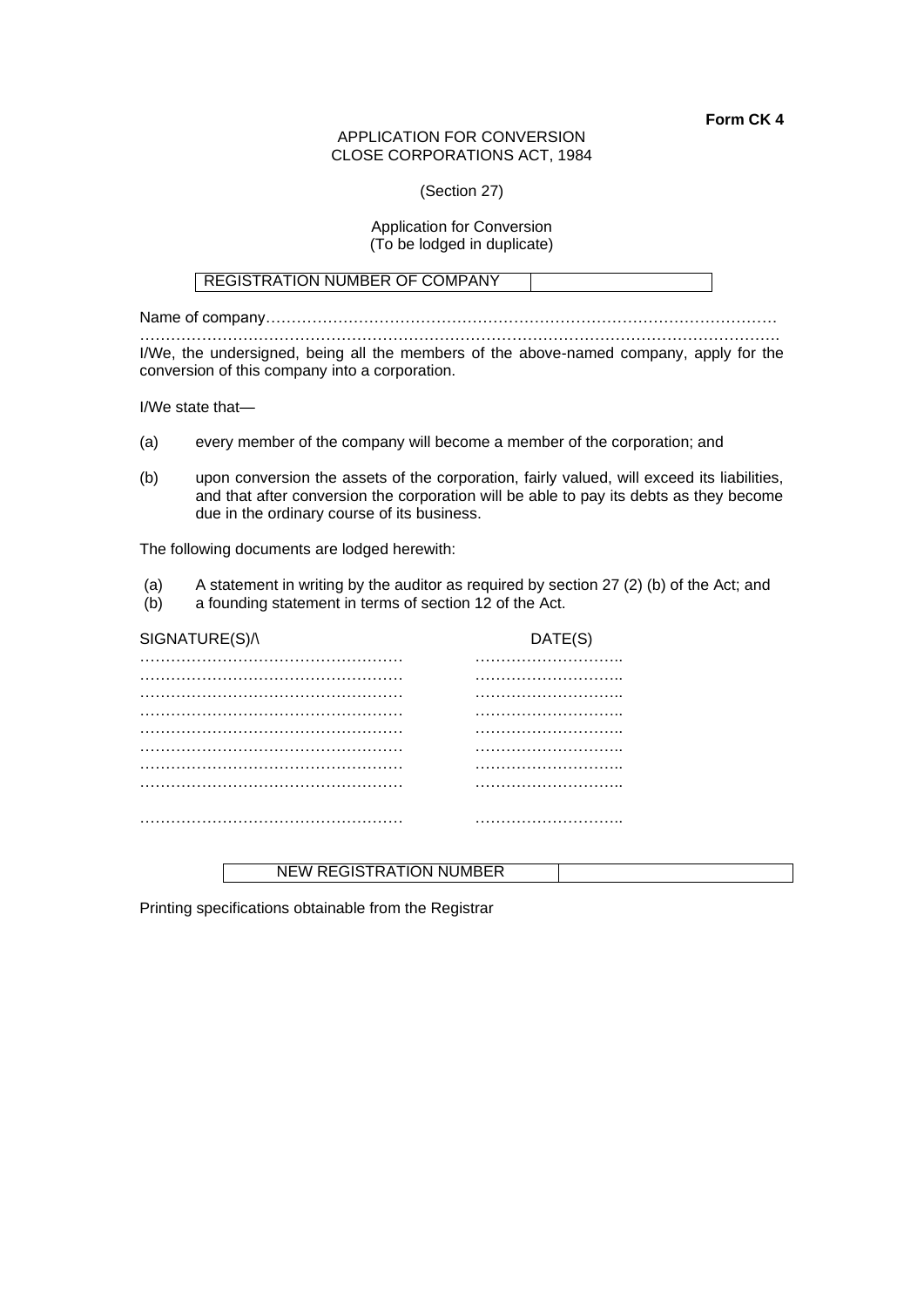#### APPLICATION FOR CONVERSION CLOSE CORPORATIONS ACT, 1984

(Section 27)

### Application for Conversion (To be lodged in duplicate)

### REGISTRATION NUMBER OF COMPANY

Name of company……………………………………………………………………………………… ……………………………………………………………………………………………………………. I/We, the undersigned, being all the members of the above-named company, apply for the conversion of this company into a corporation.

I/We state that—

- (a) every member of the company will become a member of the corporation; and
- (b) upon conversion the assets of the corporation, fairly valued, will exceed its liabilities, and that after conversion the corporation will be able to pay its debts as they become due in the ordinary course of its business.

The following documents are lodged herewith:

- (a) A statement in writing by the auditor as required by section 27 (2) (b) of the Act; and
- (b) a founding statement in terms of section 12 of the Act.

| SIGNATURE(S)/\ | DATE(S) |
|----------------|---------|
|                |         |
|                |         |
|                |         |
|                |         |
|                |         |
|                |         |
|                |         |
|                |         |
|                |         |

# NEW REGISTRATION NUMBER

Printing specifications obtainable from the Registrar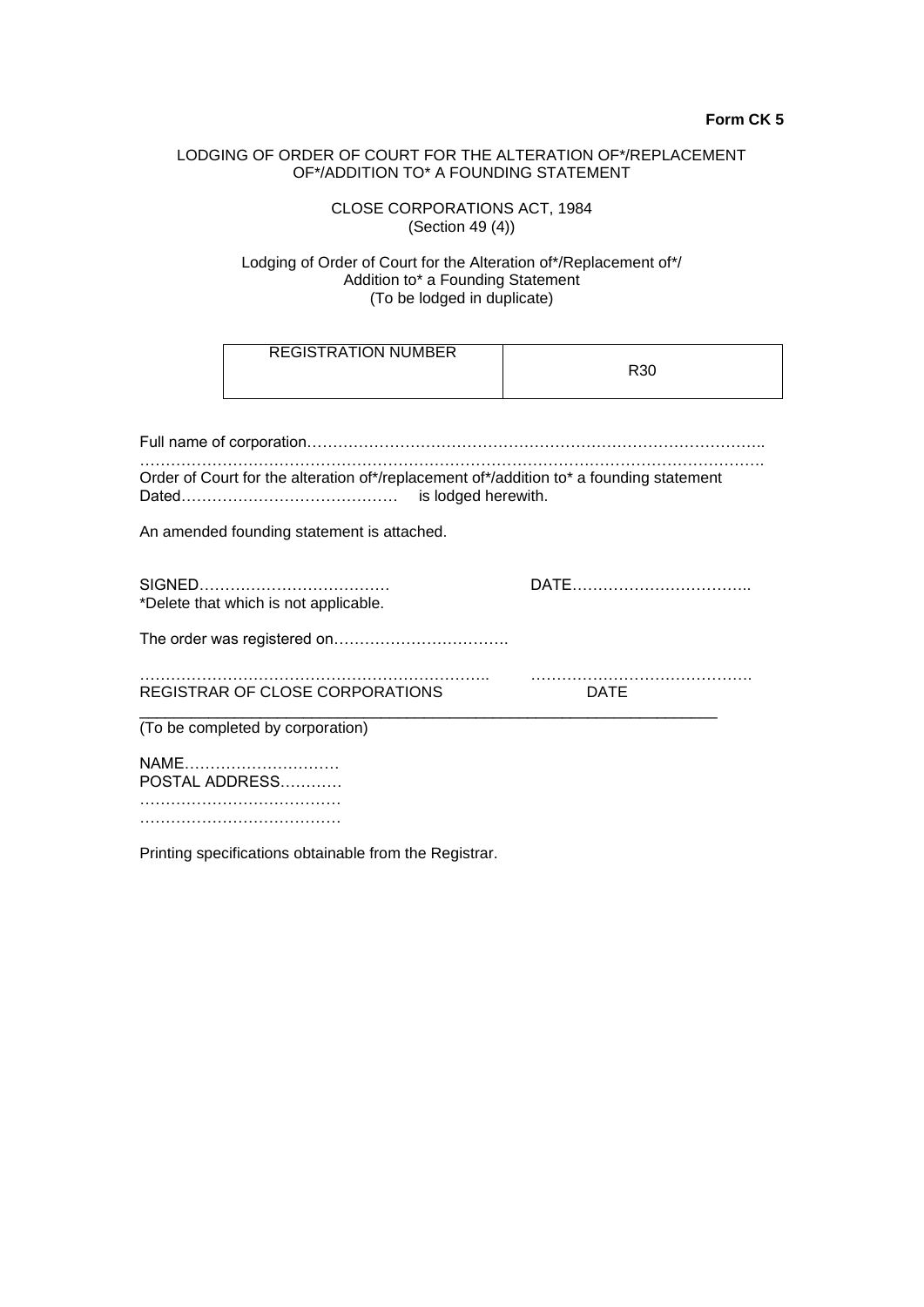# LODGING OF ORDER OF COURT FOR THE ALTERATION OF\*/REPLACEMENT OF\*/ADDITION TO\* A FOUNDING STATEMENT

CLOSE CORPORATIONS ACT, 1984 (Section 49 (4))

### Lodging of Order of Court for the Alteration of\*/Replacement of\*/ Addition to\* a Founding Statement (To be lodged in duplicate)

| <b>REGISTRATION NUMBER</b>                                                              | R <sub>30</sub> |
|-----------------------------------------------------------------------------------------|-----------------|
|                                                                                         |                 |
| Order of Court for the alteration of*/replacement of*/addition to* a founding statement |                 |
| An amended founding statement is attached.                                              |                 |
| *Delete that which is not applicable.                                                   |                 |
|                                                                                         |                 |
| REGISTRAR OF CLOSE CORPORATIONS                                                         | <b>DATE</b>     |
| (To be completed by corporation)                                                        |                 |
| NAME<br>POSTAL ADDRESS                                                                  |                 |
|                                                                                         |                 |

Printing specifications obtainable from the Registrar.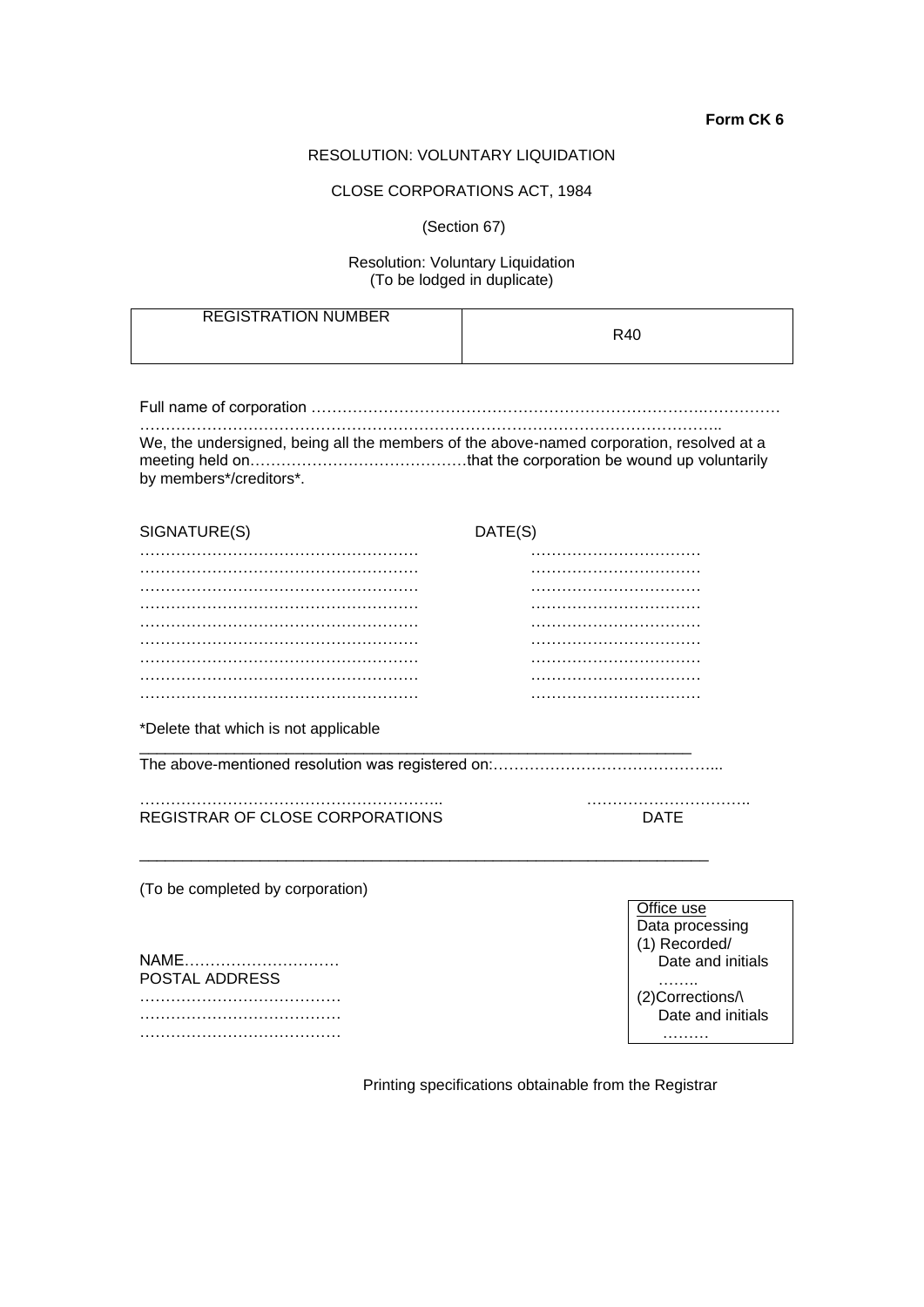## RESOLUTION: VOLUNTARY LIQUIDATION

#### CLOSE CORPORATIONS ACT, 1984

(Section 67)

# Resolution: Voluntary Liquidation (To be lodged in duplicate)

| <b>REGISTRATION NUMBER</b> | R40 |
|----------------------------|-----|
|----------------------------|-----|

Full name of corporation ………………………………………………………………….……………

………………………………………………………………………………………………….. We, the undersigned, being all the members of the above-named corporation, resolved at a meeting held on……………………………………that the corporation be wound up voluntarily by members\*/creditors\*.

| SIGNATURE(S) | DATE(S) |
|--------------|---------|
|              |         |
|              |         |
|              |         |
|              |         |
|              |         |
|              |         |
|              |         |
|              |         |
|              |         |

\*Delete that which is not applicable

The above-mentioned resolution was registered on:……………………………………...

\_\_\_\_\_\_\_\_\_\_\_\_\_\_\_\_\_\_\_\_\_\_\_\_\_\_\_\_\_\_\_\_\_\_\_\_\_\_\_\_\_\_\_\_\_\_\_\_\_\_\_\_\_\_\_\_\_\_\_\_\_\_\_\_\_\_

\_\_\_\_\_\_\_\_\_\_\_\_\_\_\_\_\_\_\_\_\_\_\_\_\_\_\_\_\_\_\_\_\_\_\_\_\_\_\_\_\_\_\_\_\_\_\_\_\_\_\_\_\_\_\_\_\_\_\_\_\_\_\_\_

REGISTRAR OF CLOSE CORPORATIONS DATE

………………………………………………….. …………………………..

(To be completed by corporation)

NAME………………………… POSTAL ADDRESS ………………………………… …………………………………

…………………………………

Office use Data processing (1) Recorded/ Date and initials ……… (2)Corrections/\ Date and initials

………

Printing specifications obtainable from the Registrar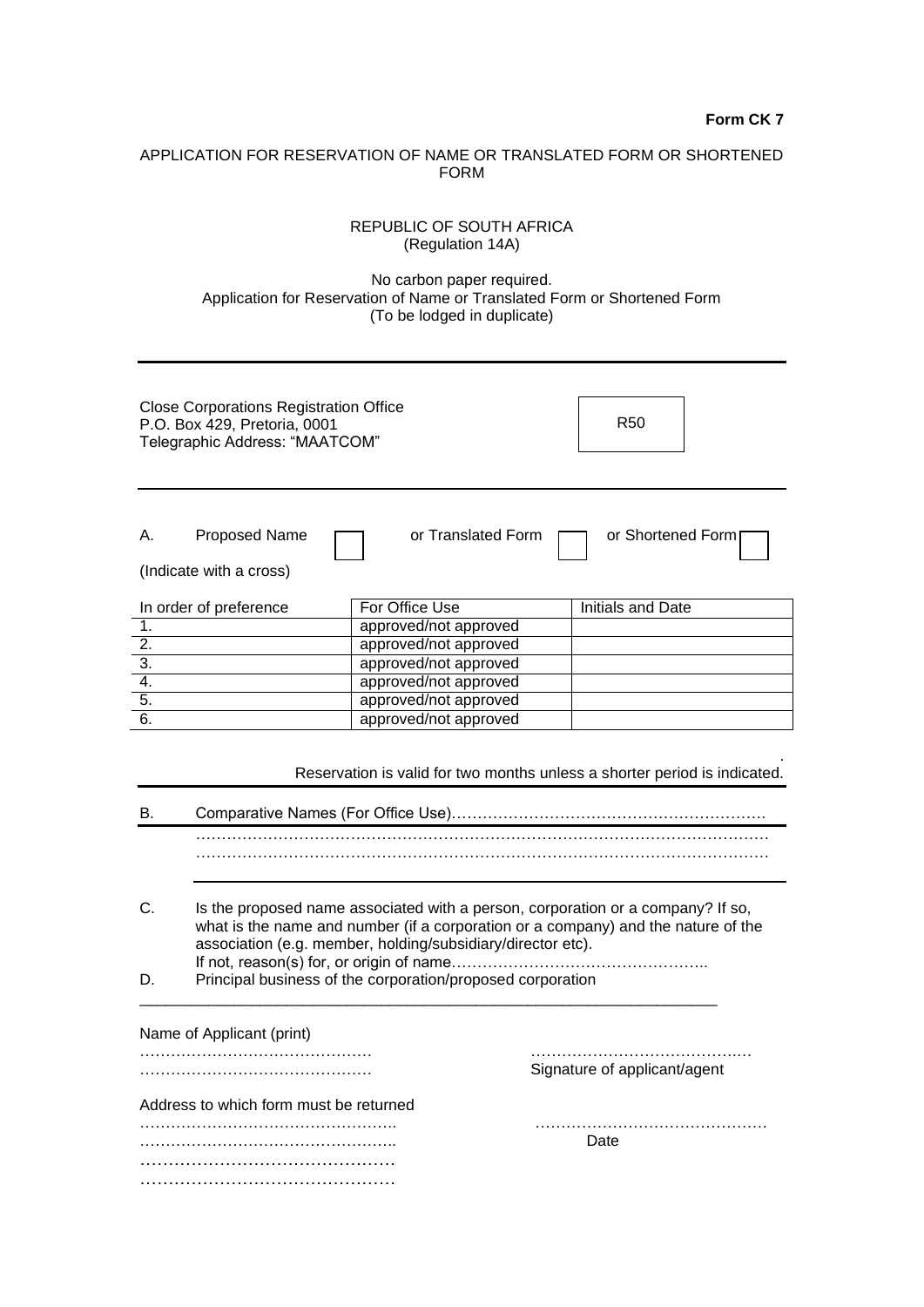# APPLICATION FOR RESERVATION OF NAME OR TRANSLATED FORM OR SHORTENED FORM

|                                                                                                                 | <b>REPUBLIC OF SOUTH AFRICA</b><br>(Regulation 14A)                                                                                                                                                                                                                                               |                          |
|-----------------------------------------------------------------------------------------------------------------|---------------------------------------------------------------------------------------------------------------------------------------------------------------------------------------------------------------------------------------------------------------------------------------------------|--------------------------|
|                                                                                                                 | No carbon paper required.<br>Application for Reservation of Name or Translated Form or Shortened Form<br>(To be lodged in duplicate)                                                                                                                                                              |                          |
| <b>Close Corporations Registration Office</b><br>P.O. Box 429, Pretoria, 0001<br>Telegraphic Address: "MAATCOM" |                                                                                                                                                                                                                                                                                                   | <b>R50</b>               |
| or Translated Form<br>or Shortened Form<br><b>Proposed Name</b><br>Α.<br>(Indicate with a cross)                |                                                                                                                                                                                                                                                                                                   |                          |
| In order of preference                                                                                          | For Office Use                                                                                                                                                                                                                                                                                    | <b>Initials and Date</b> |
| $\overline{1}$ .                                                                                                | approved/not approved                                                                                                                                                                                                                                                                             |                          |
| 2.                                                                                                              | approved/not approved                                                                                                                                                                                                                                                                             |                          |
| 3.                                                                                                              | approved/not approved                                                                                                                                                                                                                                                                             |                          |
| 4.                                                                                                              | approved/not approved                                                                                                                                                                                                                                                                             |                          |
| 5.                                                                                                              | approved/not approved                                                                                                                                                                                                                                                                             |                          |
| 6.                                                                                                              | approved/not approved                                                                                                                                                                                                                                                                             |                          |
| Reservation is valid for two months unless a shorter period is indicated.<br>В.                                 |                                                                                                                                                                                                                                                                                                   |                          |
| U.<br>D.                                                                                                        | Is the proposed name associated with a person, corporation or a company? If so,<br>what is the name and number (if a corporation or a company) and the nature of the<br>association (e.g. member, holding/subsidiary/director etc).<br>Principal business of the corporation/proposed corporation |                          |
| Name of Applicant (print)                                                                                       |                                                                                                                                                                                                                                                                                                   |                          |

……………………………………… ………………………………….… ………………………………………………

Address to which form must be returned ………………………………………….. ……………………………………… ………………………………………….. Date

……………………………………… ………………………………………